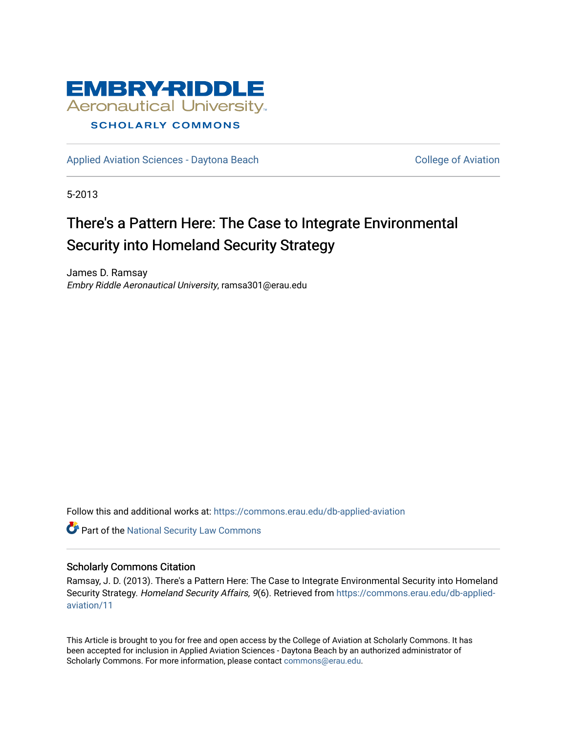

[Applied Aviation Sciences - Daytona Beach](https://commons.erau.edu/db-applied-aviation) [College of Aviation](https://commons.erau.edu/db-aviation) College of Aviation

5-2013

# There's a Pattern Here: The Case to Integrate Environmental Security into Homeland Security Strategy

James D. Ramsay Embry Riddle Aeronautical University, ramsa301@erau.edu

Follow this and additional works at: [https://commons.erau.edu/db-applied-aviation](https://commons.erau.edu/db-applied-aviation?utm_source=commons.erau.edu%2Fdb-applied-aviation%2F11&utm_medium=PDF&utm_campaign=PDFCoverPages) 

**Part of the [National Security Law Commons](http://network.bepress.com/hgg/discipline/1114?utm_source=commons.erau.edu%2Fdb-applied-aviation%2F11&utm_medium=PDF&utm_campaign=PDFCoverPages)** 

#### Scholarly Commons Citation

Ramsay, J. D. (2013). There's a Pattern Here: The Case to Integrate Environmental Security into Homeland Security Strategy. Homeland Security Affairs, 9(6). Retrieved from [https://commons.erau.edu/db-applied](https://commons.erau.edu/db-applied-aviation/11?utm_source=commons.erau.edu%2Fdb-applied-aviation%2F11&utm_medium=PDF&utm_campaign=PDFCoverPages)[aviation/11](https://commons.erau.edu/db-applied-aviation/11?utm_source=commons.erau.edu%2Fdb-applied-aviation%2F11&utm_medium=PDF&utm_campaign=PDFCoverPages)

This Article is brought to you for free and open access by the College of Aviation at Scholarly Commons. It has been accepted for inclusion in Applied Aviation Sciences - Daytona Beach by an authorized administrator of Scholarly Commons. For more information, please contact [commons@erau.edu.](mailto:commons@erau.edu)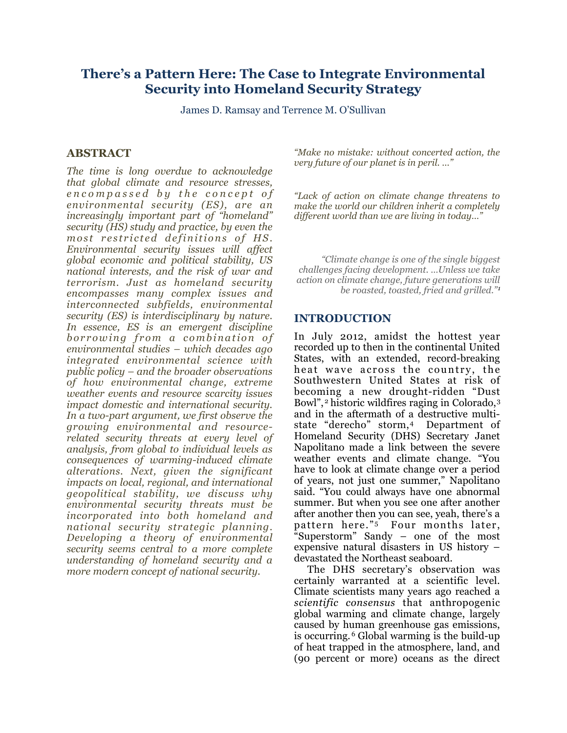## **There's a Pattern Here: The Case to Integrate Environmental Security into Homeland Security Strategy**

James D. Ramsay and Terrence M. O'Sullivan

#### **ABSTRACT**

*The time is long overdue to acknowledge that global climate and resource stresses, e n c o m p a s s e d b y t h e c o n c e p t o f environmental security (ES), are an increasingly important part of "homeland" security (HS) study and practice, by even the most restricted definitions of HS. Environmental security issues will affect global economic and political stability, US national interests, and the risk of war and terrorism. Just as homeland security encompasses many complex issues and interconnected subfields, environmental security (ES) is interdisciplinary by nature. In essence, ES is an emergent discipline borrowing from a combination of environmental studies – which decades ago integrated environmental science with public policy – and the broader observations of how environmental change, extreme weather events and resource scarcity issues impact domestic and international security. In a two-part argument, we first observe the growing environmental and resourcerelated security threats at every level of analysis, from global to individual levels as consequences of warming-induced climate alterations. Next, given the significant impacts on local, regional, and international geopolitical stability, we discuss why environmental security threats must be incorporated into both homeland and national security strategic planning. Developing a theory of environmental security seems central to a more complete understanding of homeland security and a more modern concept of national security.*

*"Make no mistake: without concerted action, the very future of our planet is in peril. …"*

*"Lack of action on climate change threatens to make the world our children inherit a completely different world than we are living in today…"*

*"Climate change is one of the single biggest challenges facing development. …Unless we take action on climate change, future generations will be roasted, toasted, fried and grilled."[1](#page-15-0)*

#### **INTRODUCTION**

In July 2012, amidst the hottest year recorded up to then in the continental United States, with an extended, record-breaking heat wave across the country, the Southwestern United States at risk of becoming a new drought-ridden "Dust Bowl",<sup>[2](#page-15-1)</sup> historic wildfires raging in Colorado,<sup>[3](#page-15-2)</sup> and in the aftermath of a destructive multistate "derecho" storm,[4](#page-15-3) Department of Homeland Security (DHS) Secretary Janet Napolitano made a link between the severe weather events and climate change. "You have to look at climate change over a period of years, not just one summer," Napolitano said. "You could always have one abnormal summer. But when you see one after another after another then you can see, yeah, there's a pattern here."<sup>5</sup> Four months later, "Superstorm" Sandy – one of the most expensive natural disasters in US history – devastated the Northeast seaboard.

The DHS secretary's observation was certainly warranted at a scientific level. Climate scientists many years ago reached a *scientific consensus* that anthropogenic global warming and climate change, largely caused by human greenhouse gas emissions, is occurring. [6](#page-15-5) Global warming is the build-up of heat trapped in the atmosphere, land, and (90 percent or more) oceans as the direct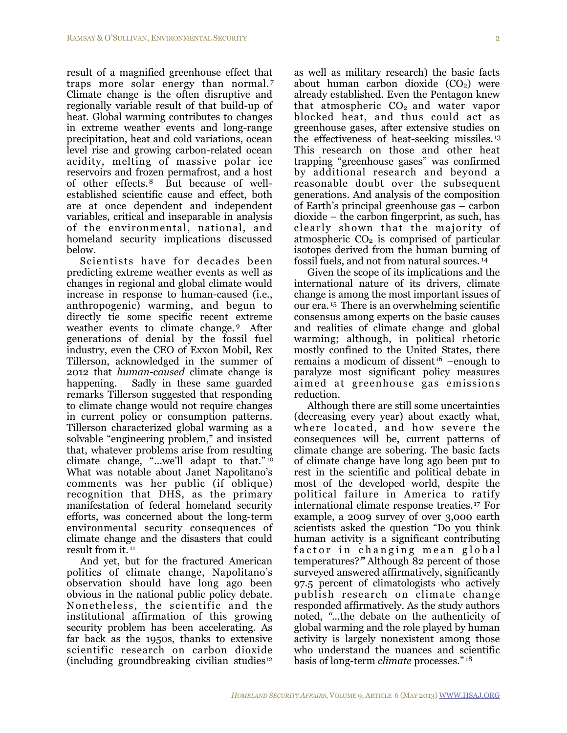result of a magnified greenhouse effect that traps more solar energy than normal. [7](#page-15-6) Climate change is the often disruptive and regionally variable result of that build-up of heat. Global warming contributes to changes in extreme weather events and long-range precipitation, heat and cold variations, ocean level rise and growing carbon-related ocean acidity, melting of massive polar ice reservoirs and frozen permafrost, and a host of other effects.[8](#page-15-7) But because of wellestablished scientific cause and effect, both are at once dependent and independent variables, critical and inseparable in analysis of the environmental, national, and homeland security implications discussed below.

Scientists have for decades been predicting extreme weather events as well as changes in regional and global climate would increase in response to human-caused (i.e., anthropogenic) warming, and begun to directly tie some specific recent extreme weather events to climate change. After generations of denial by the fossil fuel industry, even the CEO of Exxon Mobil, Rex Tillerson, acknowledged in the summer of 2012 that *human-caused* climate change is happening. Sadly in these same guarded remarks Tillerson suggested that responding to climate change would not require changes in current policy or consumption patterns. Tillerson characterized global warming as a solvable "engineering problem," and insisted that, whatever problems arise from resulting climate change, "…we'll adapt to that." [10](#page-15-9) What was notable about Janet Napolitano's comments was her public (if oblique) recognition that DHS, as the primary manifestation of federal homeland security efforts, was concerned about the long-term environmental security consequences of climate change and the disasters that could result from it. [11](#page-16-0)

And yet, but for the fractured American politics of climate change, Napolitano's observation should have long ago been obvious in the national public policy debate. Nonetheless, the scientific and the institutional affirmation of this growing security problem has been accelerating. As far back as the 1950s, thanks to extensive scientific research on carbon dioxide (including groundbreaking civilian studies $12$ 

as well as military research) the basic facts about human carbon dioxide  $(CO<sub>2</sub>)$  were already established. Even the Pentagon knew that atmospheric  $CO<sub>2</sub>$  and water vapor blocked heat, and thus could act as greenhouse gases, after extensive studies on the effectiveness of heat-seeking missiles. [13](#page-16-2) This research on those and other heat trapping "greenhouse gases" was confirmed by additional research and beyond a reasonable doubt over the subsequent generations. And analysis of the composition of Earth's principal greenhouse gas – carbon dioxide – the carbon fingerprint, as such, has clearly shown that the majority of atmospheric  $CO<sub>2</sub>$  is comprised of particular isotopes derived from the human burning of fossil fuels, and not from natural sources. [14](#page-16-3)

Given the scope of its implications and the international nature of its drivers, climate change is among the most important issues of our era. [15](#page-16-4) There is an overwhelming scientific consensus among experts on the basic causes and realities of climate change and global warming; although, in political rhetoric mostly confined to the United States, there remains a modicum of dissent<sup>16</sup> –enough to paralyze most significant policy measures aimed at greenhouse gas emissions reduction.

Although there are still some uncertainties (decreasing every year) about exactly what, where located, and how severe the consequences will be, current patterns of climate change are sobering. The basic facts of climate change have long ago been put to rest in the scientific and political debate in most of the developed world, despite the political failure in America to ratify international climate response treaties.[17](#page-16-6) For example, a 2009 survey of over 3,000 earth scientists asked the question "Do you think human activity is a significant contributing factor in changing mean global temperatures?*"* Although 82 percent of those surveyed answered affirmatively, significantly 97.5 percent of climatologists who actively publish research on climate change responded affirmatively. As the study authors noted, *"...*the debate on the authenticity of global warming and the role played by human activity is largely nonexistent among those who understand the nuances and scientific basis of long-term *climate* processes." [18](#page-16-7)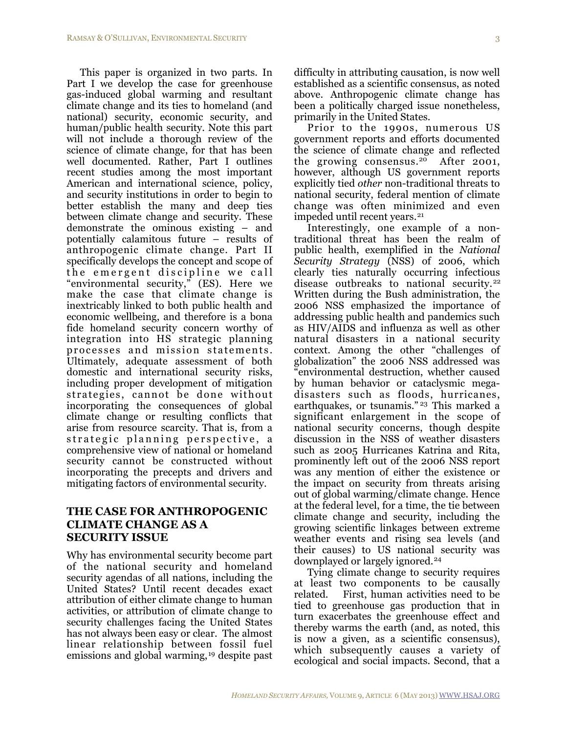This paper is organized in two parts. In Part I we develop the case for greenhouse gas-induced global warming and resultant climate change and its ties to homeland (and national) security, economic security, and human/public health security. Note this part will not include a thorough review of the science of climate change, for that has been well documented. Rather, Part I outlines recent studies among the most important American and international science, policy, and security institutions in order to begin to better establish the many and deep ties between climate change and security. These demonstrate the ominous existing – and potentially calamitous future – results of anthropogenic climate change. Part II specifically develops the concept and scope of the emergent discipline we call "environmental security," (ES). Here we make the case that climate change is inextricably linked to both public health and economic wellbeing, and therefore is a bona fide homeland security concern worthy of integration into HS strategic planning processes and mission statements. Ultimately, adequate assessment of both domestic and international security risks, including proper development of mitigation strategies, cannot be done without incorporating the consequences of global climate change or resulting conflicts that arise from resource scarcity. That is, from a strategic planning perspective, a comprehensive view of national or homeland security cannot be constructed without incorporating the precepts and drivers and mitigating factors of environmental security.

### **THE CASE FOR ANTHROPOGENIC CLIMATE CHANGE AS A SECURITY ISSUE**

Why has environmental security become part of the national security and homeland security agendas of all nations, including the United States? Until recent decades exact attribution of either climate change to human activities, or attribution of climate change to security challenges facing the United States has not always been easy or clear. The almost linear relationship between fossil fuel emissions and global warming, [19](#page-16-8) despite past

difficulty in attributing causation, is now well established as a scientific consensus, as noted above. Anthropogenic climate change has been a politically charged issue nonetheless, primarily in the United States.

Prior to the 1990s, numerous US government reports and efforts documented the science of climate change and reflected the growing consensus.[20](#page-16-9) After 2001, however, although US government reports explicitly tied *other* non-traditional threats to national security, federal mention of climate change was often minimized and even impeded until recent years.<sup>[21](#page-16-10)</sup>

Interestingly, one example of a nontraditional threat has been the realm of public health, exemplified in the *National Security Strategy* (NSS) of 2006, which clearly ties naturally occurring infectious disease outbreaks to national security.<sup>[22](#page-16-11)</sup> Written during the Bush administration, the 2006 NSS emphasized the importance of addressing public health and pandemics such as HIV/AIDS and influenza as well as other natural disasters in a national security context. Among the other "challenges of globalization" the 2006 NSS addressed was "environmental destruction, whether caused by human behavior or cataclysmic megadisasters such as floods, hurricanes, earthquakes, or tsunamis."<sup>23</sup> This marked a significant enlargement in the scope of national security concerns, though despite discussion in the NSS of weather disasters such as 2005 Hurricanes Katrina and Rita, prominently left out of the 2006 NSS report was any mention of either the existence or the impact on security from threats arising out of global warming/climate change. Hence at the federal level, for a time, the tie between climate change and security, including the growing scientific linkages between extreme weather events and rising sea levels (and their causes) to US national security was downplayed or largely ignored.[24](#page-16-13)

Tying climate change to security requires at least two components to be causally related. First, human activities need to be tied to greenhouse gas production that in turn exacerbates the greenhouse effect and thereby warms the earth (and, as noted, this is now a given, as a scientific consensus), which subsequently causes a variety of ecological and social impacts. Second, that a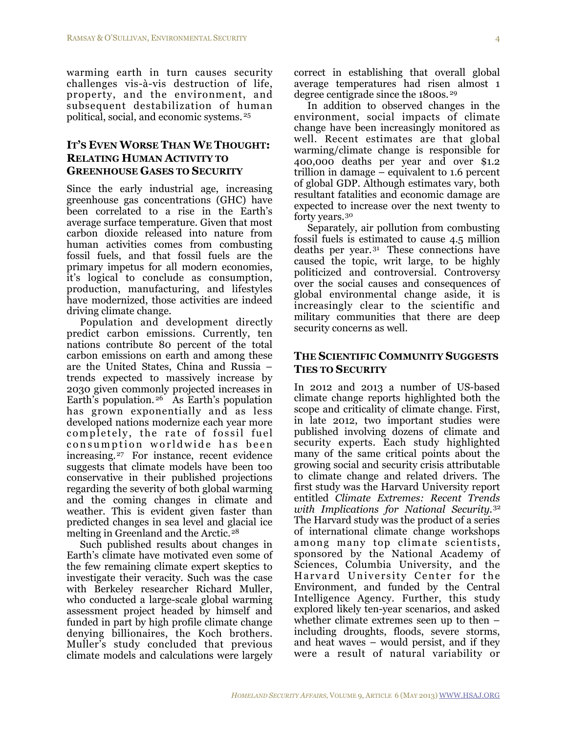warming earth in turn causes security challenges vis-à-vis destruction of life, property, and the environment, and subsequent destabilization of human political, social, and economic systems. [25](#page-16-14) 

## **IT'S EVEN WORSE THAN WE THOUGHT: RELATING HUMAN ACTIVITY TO GREENHOUSE GASES TO SECURITY**

Since the early industrial age, increasing greenhouse gas concentrations (GHC) have been correlated to a rise in the Earth's average surface temperature. Given that most carbon dioxide released into nature from human activities comes from combusting fossil fuels, and that fossil fuels are the primary impetus for all modern economies, it's logical to conclude as consumption, production, manufacturing, and lifestyles have modernized, those activities are indeed driving climate change.

Population and development directly predict carbon emissions. Currently, ten nations contribute 80 percent of the total carbon emissions on earth and among these are the United States, China and Russia – trends expected to massively increase by 2030 given commonly projected increases in Earth's population.<sup>[26](#page-17-0)</sup> As Earth's population has grown exponentially and as less developed nations modernize each year more completely, the rate of fossil fuel consumption worldwide has been increasing.[27](#page-17-1) For instance, recent evidence suggests that climate models have been too conservative in their published projections regarding the severity of both global warming and the coming changes in climate and weather. This is evident given faster than predicted changes in sea level and glacial ice melting in Greenland and the Arctic.<sup>28</sup>

Such published results about changes in Earth's climate have motivated even some of the few remaining climate expert skeptics to investigate their veracity. Such was the case with Berkeley researcher Richard Muller, who conducted a large-scale global warming assessment project headed by himself and funded in part by high profile climate change denying billionaires, the Koch brothers. Muller's study concluded that previous climate models and calculations were largely correct in establishing that overall global average temperatures had risen almost 1 degree centigrade since the 1800s. [29](#page-17-3)

In addition to observed changes in the environment, social impacts of climate change have been increasingly monitored as well. Recent estimates are that global warming/climate change is responsible for 400,000 deaths per year and over \$1.2 trillion in damage – equivalent to 1.6 percent of global GDP. Although estimates vary, both resultant fatalities and economic damage are expected to increase over the next twenty to forty years.[30](#page-17-4) 

Separately, air pollution from combusting fossil fuels is estimated to cause 4.5 million deaths per year. [31](#page-17-5) These connections have caused the topic, writ large, to be highly politicized and controversial. Controversy over the social causes and consequences of global environmental change aside, it is increasingly clear to the scientific and military communities that there are deep security concerns as well.

#### **THE SCIENTIFIC COMMUNITY SUGGESTS TIES TO SECURITY**

In 2012 and 2013 a number of US-based climate change reports highlighted both the scope and criticality of climate change. First, in late 2012, two important studies were published involving dozens of climate and security experts. Each study highlighted many of the same critical points about the growing social and security crisis attributable to climate change and related drivers. The first study was the Harvard University report entitled *Climate Extremes: Recent Trends with Implications for National Security.*[32](#page-17-6) The Harvard study was the product of a series of international climate change workshops among many top climate scientists, sponsored by the National Academy of Sciences, Columbia University, and the Harvard University Center for the Environment, and funded by the Central Intelligence Agency. Further, this study explored likely ten-year scenarios, and asked whether climate extremes seen up to then – including droughts, floods, severe storms, and heat waves – would persist, and if they were a result of natural variability or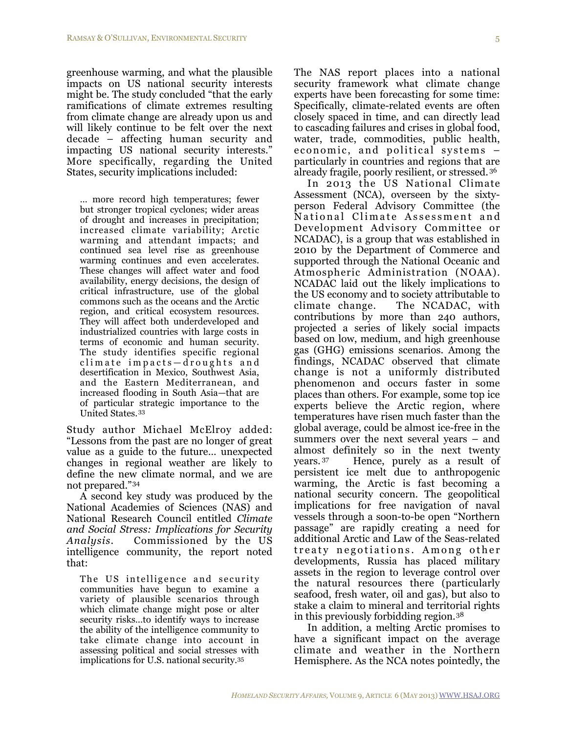greenhouse warming, and what the plausible impacts on US national security interests might be. The study concluded "that the early ramifications of climate extremes resulting from climate change are already upon us and will likely continue to be felt over the next decade – affecting human security and impacting US national security interests." More specifically, regarding the United States, security implications included:

… more record high temperatures; fewer but stronger tropical cyclones; wider areas of drought and increases in precipitation; increased climate variability; Arctic warming and attendant impacts; and continued sea level rise as greenhouse warming continues and even accelerates. These changes will affect water and food availability, energy decisions, the design of critical infrastructure, use of the global commons such as the oceans and the Arctic region, and critical ecosystem resources. They will affect both underdeveloped and industrialized countries with large costs in terms of economic and human security. The study identifies specific regional climate impacts-droughts and desertification in Mexico, Southwest Asia, and the Eastern Mediterranean, and increased flooding in South Asia—that are of particular strategic importance to the United States.[33](#page-17-7)

Study author Michael McElroy added: "Lessons from the past are no longer of great value as a guide to the future… unexpected changes in regional weather are likely to define the new climate normal, and we are not prepared."[34](#page-17-8)

A second key study was produced by the National Academies of Sciences (NAS) and National Research Council entitled *Climate and Social Stress: Implications for Security Analysis*. Commissioned by the US intelligence community, the report noted that:

The US intelligence and security communities have begun to examine a variety of plausible scenarios through which climate change might pose or alter security risks…to identify ways to increase the ability of the intelligence community to take climate change into account in assessing political and social stresses with implications for U.S. national security[.35](#page-17-9)

The NAS report places into a national security framework what climate change experts have been forecasting for some time: Specifically, climate-related events are often closely spaced in time, and can directly lead to cascading failures and crises in global food, water, trade, commodities, public health, economic, and political systems particularly in countries and regions that are already fragile, poorly resilient, or stressed. [36](#page-17-10)

In 2013 the US National Climate Assessment (NCA), overseen by the sixtyperson Federal Advisory Committee (the National Climate Assessment and Development Advisory Committee or NCADAC), is a group that was established in 2010 by the Department of Commerce and supported through the National Oceanic and Atmospheric Administration (NOAA). NCADAC laid out the likely implications to the US economy and to society attributable to climate change. The NCADAC, with contributions by more than 240 authors, projected a series of likely social impacts based on low, medium, and high greenhouse gas (GHG) emissions scenarios. Among the findings, NCADAC observed that climate change is not a uniformly distributed phenomenon and occurs faster in some places than others. For example, some top ice experts believe the Arctic region, where temperatures have risen much faster than the global average, could be almost ice-free in the summers over the next several years – and almost definitely so in the next twenty years. [37](#page-17-11) Hence, purely as a result of persistent ice melt due to anthropogenic warming, the Arctic is fast becoming a national security concern. The geopolitical implications for free navigation of naval vessels through a soon-to-be open "Northern passage" are rapidly creating a need for additional Arctic and Law of the Seas-related treaty negotiations. Among other developments, Russia has placed military assets in the region to leverage control over the natural resources there (particularly seafood, fresh water, oil and gas), but also to stake a claim to mineral and territorial rights in this previously forbidding region.[38](#page-17-12)

In addition, a melting Arctic promises to have a significant impact on the average climate and weather in the Northern Hemisphere. As the NCA notes pointedly, the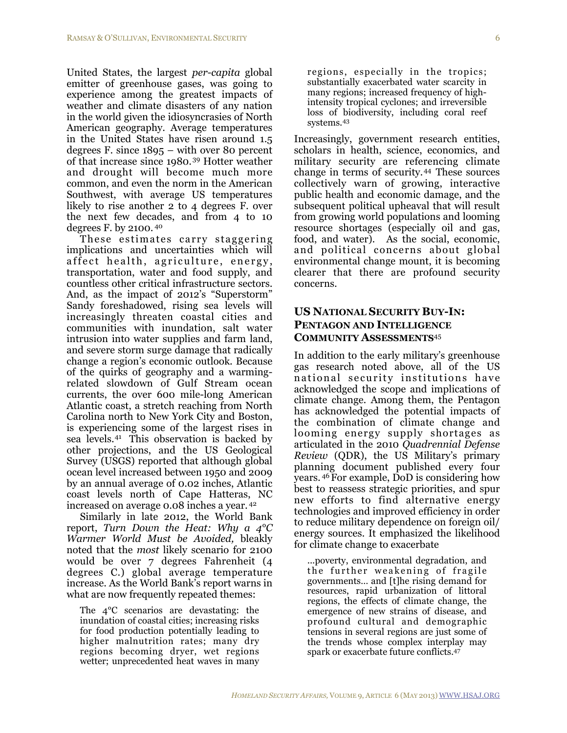United States, the largest *per-capita* global emitter of greenhouse gases, was going to experience among the greatest impacts of weather and climate disasters of any nation in the world given the idiosyncrasies of North American geography. Average temperatures in the United States have risen around 1.5 degrees F. since 1895 – with over 80 percent of that increase since 1980.[39](#page-17-13) Hotter weather and drought will become much more common, and even the norm in the American Southwest, with average US temperatures likely to rise another 2 to 4 degrees F. over the next few decades, and from 4 to 10 degrees F. by 2100. [40](#page-17-14)

These estimates carry staggering implications and uncertainties which will affect health, agriculture, energy, transportation, water and food supply, and countless other critical infrastructure sectors. And, as the impact of 2012's "Superstorm" Sandy foreshadowed, rising sea levels will increasingly threaten coastal cities and communities with inundation, salt water intrusion into water supplies and farm land, and severe storm surge damage that radically change a region's economic outlook. Because of the quirks of geography and a warmingrelated slowdown of Gulf Stream ocean currents, the over 600 mile-long American Atlantic coast, a stretch reaching from North Carolina north to New York City and Boston, is experiencing some of the largest rises in sea levels.[41](#page-17-15) This observation is backed by other projections, and the US Geological Survey (USGS) reported that although global ocean level increased between 1950 and 2009 by an annual average of 0.02 inches, Atlantic coast levels north of Cape Hatteras, NC increased on average 0.08 inches a year. [42](#page-18-0)

Similarly in late 2012, the World Bank report, *Turn Down the Heat: Why a 4°C Warmer World Must be Avoided,* bleakly noted that the *most* likely scenario for 2100 would be over 7 degrees Fahrenheit (4 degrees C.) global average temperature increase. As the World Bank's report warns in what are now frequently repeated themes:

The 4°C scenarios are devastating: the inundation of coastal cities; increasing risks for food production potentially leading to higher malnutrition rates; many dry regions becoming dryer, wet regions wetter; unprecedented heat waves in many regions, especially in the tropics; substantially exacerbated water scarcity in many regions; increased frequency of highintensity tropical cyclones; and irreversible loss of biodiversity, including coral reef systems.[43](#page-18-1)

Increasingly, government research entities, scholars in health, science, economics, and military security are referencing climate change in terms of security.[44](#page-18-2) These sources collectively warn of growing, interactive public health and economic damage, and the subsequent political upheaval that will result from growing world populations and looming resource shortages (especially oil and gas, food, and water). As the social, economic, and political concerns about global environmental change mount, it is becoming clearer that there are profound security concerns.

#### **US NATIONAL SECURITY BUY-IN: PENTAGON AND INTELLIGENCE COMMUNITY ASSESSMENTS**[45](#page-18-3)

In addition to the early military's greenhouse gas research noted above, all of the US national security institutions have acknowledged the scope and implications of climate change. Among them, the Pentagon has acknowledged the potential impacts of the combination of climate change and looming energy supply shortages as articulated in the 2010 *Quadrennial Defense Review* (QDR), the US Military's primary planning document published every four years. [46](#page-18-4) For example, DoD is considering how best to reassess strategic priorities, and spur new efforts to find alternative energy technologies and improved efficiency in order to reduce military dependence on foreign oil/ energy sources. It emphasized the likelihood for climate change to exacerbate

...poverty, environmental degradation, and the further weakening of fragile governments… and [t]he rising demand for resources, rapid urbanization of littoral regions, the effects of climate change, the emergence of new strains of disease, and profound cultural and demographic tensions in several regions are just some of the trends whose complex interplay may spark or exacerbate future conflicts[.47](#page-18-5)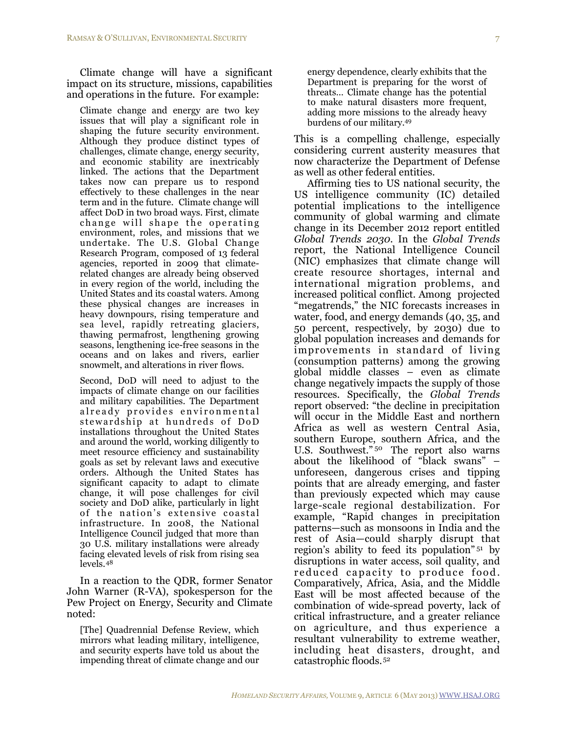Climate change will have a significant impact on its structure, missions, capabilities and operations in the future. For example:

Climate change and energy are two key issues that will play a significant role in shaping the future security environment. Although they produce distinct types of challenges, climate change, energy security, and economic stability are inextricably linked. The actions that the Department takes now can prepare us to respond effectively to these challenges in the near term and in the future. Climate change will affect DoD in two broad ways. First, climate change will shape the operating environment, roles, and missions that we undertake. The U.S. Global Change Research Program, composed of 13 federal agencies, reported in 2009 that climaterelated changes are already being observed in every region of the world, including the United States and its coastal waters. Among these physical changes are increases in heavy downpours, rising temperature and sea level, rapidly retreating glaciers, thawing permafrost, lengthening growing seasons, lengthening ice-free seasons in the oceans and on lakes and rivers, earlier snowmelt, and alterations in river flows.

Second, DoD will need to adjust to the impacts of climate change on our facilities and military capabilities. The Department already provides environmental stewardship at hundreds of DoD installations throughout the United States and around the world, working diligently to meet resource efficiency and sustainability goals as set by relevant laws and executive orders. Although the United States has significant capacity to adapt to climate change, it will pose challenges for civil society and DoD alike, particularly in light of the nation's extensive coastal infrastructure. In 2008, the National Intelligence Council judged that more than 30 U.S. military installations were already facing elevated levels of risk from rising sea levels.[48](#page-18-6)

In a reaction to the QDR, former Senator John Warner (R-VA), spokesperson for the Pew Project on Energy, Security and Climate noted:

[The] Quadrennial Defense Review, which mirrors what leading military, intelligence, and security experts have told us about the impending threat of climate change and our energy dependence, clearly exhibits that the Department is preparing for the worst of threats… Climate change has the potential to make natural disasters more frequent, adding more missions to the already heavy burdens of our military[.49](#page-18-7)

This is a compelling challenge, especially considering current austerity measures that now characterize the Department of Defense as well as other federal entities.

Affirming ties to US national security, the US intelligence community (IC) detailed potential implications to the intelligence community of global warming and climate change in its December 2012 report entitled *Global Trends 2030*. In the *Global Trends* report, the National Intelligence Council (NIC) emphasizes that climate change will create resource shortages, internal and international migration problems, and increased political conflict. Among projected "megatrends," the NIC forecasts increases in water, food, and energy demands (40, 35, and 50 percent, respectively, by 2030) due to global population increases and demands for improvements in standard of living (consumption patterns) among the growing global middle classes – even as climate change negatively impacts the supply of those resources. Specifically, the *Global Trends* report observed: "the decline in precipitation will occur in the Middle East and northern Africa as well as western Central Asia, southern Europe, southern Africa, and the U.S. Southwest."<sup>50</sup> The report also warns about the likelihood of "black swans" – unforeseen, dangerous crises and tipping points that are already emerging, and faster than previously expected which may cause large-scale regional destabilization. For example, "Rapid changes in precipitation patterns—such as monsoons in India and the rest of Asia—could sharply disrupt that region's ability to feed its population" [51](#page-18-9) by disruptions in water access, soil quality, and reduced capacity to produce food. Comparatively, Africa, Asia, and the Middle East will be most affected because of the combination of wide-spread poverty, lack of critical infrastructure, and a greater reliance on agriculture, and thus experience a resultant vulnerability to extreme weather, including heat disasters, drought, and catastrophic floods.[52](#page-18-10)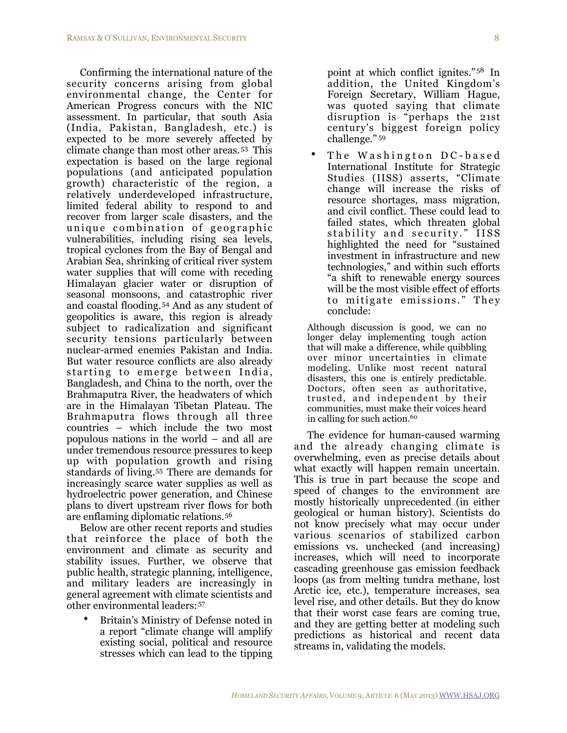Confirming the international nature of the security concerns arising from global environmental change, the Center for American Progress concurs with the NIC assessment. In particular, that south Asia (India, Pakistan, Bangladesh, etc.) is expected to be more severely affected by climate change than most other areas.[53](#page-18-11) This expectation is based on the large regional populations (and anticipated population growth) characteristic of the region, a relatively underdeveloped infrastructure, limited federal ability to respond to and recover from larger scale disasters, and the unique combination of geographic vulnerabilities, including rising sea levels, tropical cyclones from the Bay of Bengal and Arabian Sea, shrinking of critical river system water supplies that will come with receding Himalayan glacier water or disruption of seasonal monsoons, and catastrophic river and coastal flooding.[54](#page-18-12) And as any student of geopolitics is aware, this region is already subject to radicalization and significant security tensions particularly between nuclear-armed enemies Pakistan and India. But water resource conflicts are also already starting to emerge between India, Bangladesh, and China to the north, over the Brahmaputra River, the headwaters of which are in the Himalayan Tibetan Plateau. The Brahmaputra flows through all three countries – which include the two most populous nations in the world – and all are under tremendous resource pressures to keep up with population growth and rising standards of living.[55](#page-18-13) There are demands for increasingly scarce water supplies as well as hydroelectric power generation, and Chinese plans to divert upstream river flows for both are enflaming diplomatic relations.[56](#page-18-14)

Below are other recent reports and studies that reinforce the place of both the environment and climate as security and stability issues. Further, we observe that public health, strategic planning, intelligence, and military leaders are increasingly in general agreement with climate scientists and other environmental leaders:[57](#page-18-15)

• Britain's Ministry of Defense noted in a report "climate change will amplify existing social, political and resource stresses which can lead to the tipping

point at which conflict ignites." [58](#page-18-16) In addition, the United Kingdom's Foreign Secretary, William Hague, was quoted saying that climate disruption is "perhaps the 21st century's biggest foreign policy challenge." [59](#page-18-17)

The Washington DC-based International Institute for Strategic Studies (IISS) asserts, "Climate change will increase the risks of resource shortages, mass migration, and civil conflict. These could lead to failed states, which threaten global stability and security." IISS highlighted the need for "sustained investment in infrastructure and new technologies," and within such efforts "a shift to renewable energy sources will be the most visible effect of efforts to mitigate emissions." They conclude:

Although discussion is good, we can no longer delay implementing tough action that will make a difference, while quibbling over minor uncertainties in climate modeling. Unlike most recent natural disasters, this one is entirely predictable. Doctors, often seen as authoritative, trusted, and independent by their communities, must make their voices heard in calling for such action.<sup>[60](#page-18-18)</sup>

The evidence for human-caused warming and the already changing climate is overwhelming, even as precise details about what exactly will happen remain uncertain. This is true in part because the scope and speed of changes to the environment are mostly historically unprecedented (in either geological or human history). Scientists do not know precisely what may occur under various scenarios of stabilized carbon emissions vs. unchecked (and increasing) increases, which will need to incorporate cascading greenhouse gas emission feedback loops (as from melting tundra methane, lost Arctic ice, etc.), temperature increases, sea level rise, and other details. But they do know that their worst case fears are coming true, and they are getting better at modeling such predictions as historical and recent data streams in, validating the models.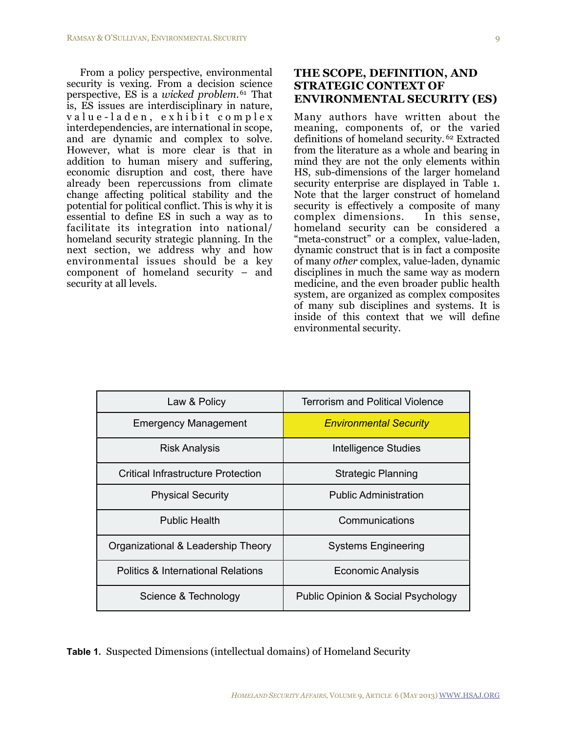From a policy perspective, environmental security is vexing. From a decision science perspective, ES is a *wicked problem*.[61](#page-18-19) That is, ES issues are interdisciplinary in nature, value-laden, exhibit complex interdependencies, are international in scope, and are dynamic and complex to solve. However, what is more clear is that in addition to human misery and suffering, economic disruption and cost, there have already been repercussions from climate change affecting political stability and the potential for political conflict. This is why it is essential to define ES in such a way as to facilitate its integration into national/ homeland security strategic planning. In the next section, we address why and how environmental issues should be a key component of homeland security – and security at all levels.

### **THE SCOPE, DEFINITION, AND STRATEGIC CONTEXT OF ENVIRONMENTAL SECURITY (ES)**

Many authors have written about the meaning, components of, or the varied definitions of homeland security. [62](#page-19-0) Extracted from the literature as a whole and bearing in mind they are not the only elements within HS, sub-dimensions of the larger homeland security enterprise are displayed in Table 1. Note that the larger construct of homeland security is effectively a composite of many complex dimensions. In this sense, homeland security can be considered a "meta-construct" or a complex, value-laden, dynamic construct that is in fact a composite of many *other* complex, value-laden, dynamic disciplines in much the same way as modern medicine, and the even broader public health system, are organized as complex composites of many sub disciplines and systems. It is inside of this context that we will define environmental security.

| Law & Policy                              | <b>Terrorism and Political Violence</b>       |
|-------------------------------------------|-----------------------------------------------|
| <b>Emergency Management</b>               | <b>Environmental Security</b>                 |
| <b>Risk Analysis</b>                      | <b>Intelligence Studies</b>                   |
| <b>Critical Infrastructure Protection</b> | <b>Strategic Planning</b>                     |
| <b>Physical Security</b>                  | <b>Public Administration</b>                  |
| <b>Public Health</b>                      | Communications                                |
| Organizational & Leadership Theory        | <b>Systems Engineering</b>                    |
| Politics & International Relations        | <b>Economic Analysis</b>                      |
| Science & Technology                      | <b>Public Opinion &amp; Social Psychology</b> |

**Table 1.** Suspected Dimensions (intellectual domains) of Homeland Security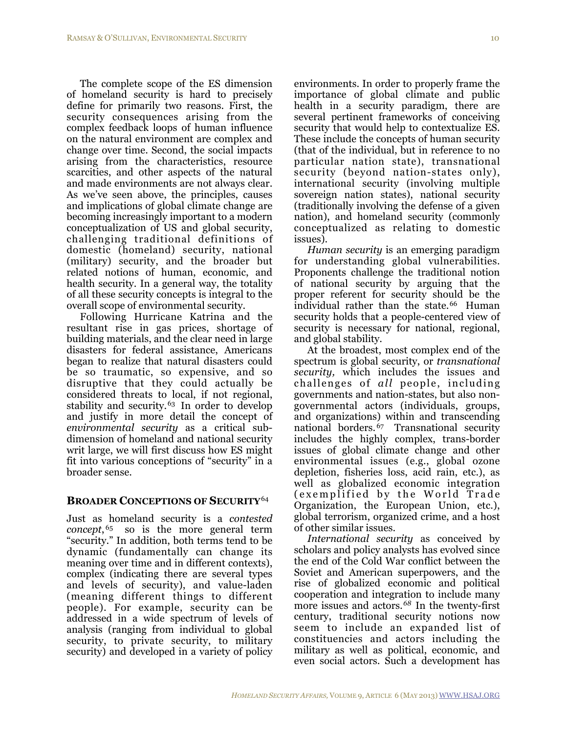The complete scope of the ES dimension of homeland security is hard to precisely define for primarily two reasons. First, the security consequences arising from the complex feedback loops of human influence on the natural environment are complex and change over time. Second, the social impacts arising from the characteristics, resource scarcities, and other aspects of the natural and made environments are not always clear. As we've seen above, the principles, causes and implications of global climate change are becoming increasingly important to a modern conceptualization of US and global security, challenging traditional definitions of domestic (homeland) security, national (military) security, and the broader but related notions of human, economic, and health security. In a general way, the totality of all these security concepts is integral to the overall scope of environmental security.

Following Hurricane Katrina and the resultant rise in gas prices, shortage of building materials, and the clear need in large disasters for federal assistance, Americans began to realize that natural disasters could be so traumatic, so expensive, and so disruptive that they could actually be considered threats to local, if not regional, stability and security.<sup>[63](#page-19-1)</sup> In order to develop and justify in more detail the concept of *environmental security* as a critical subdimension of homeland and national security writ large, we will first discuss how ES might fit into various conceptions of "security" in a broader sense.

#### **BROADER CONCEPTIONS OF SECURITY**[64](#page-19-2)

Just as homeland security is a *contested concept*, [65](#page-19-3) so is the more general term "security." In addition, both terms tend to be dynamic (fundamentally can change its meaning over time and in different contexts), complex (indicating there are several types and levels of security), and value-laden (meaning different things to different people). For example, security can be addressed in a wide spectrum of levels of analysis (ranging from individual to global security, to private security, to military security) and developed in a variety of policy

environments. In order to properly frame the importance of global climate and public health in a security paradigm, there are several pertinent frameworks of conceiving security that would help to contextualize ES. These include the concepts of human security (that of the individual, but in reference to no particular nation state), transnational security (beyond nation-states only), international security (involving multiple sovereign nation states), national security (traditionally involving the defense of a given nation), and homeland security (commonly conceptualized as relating to domestic issues).

*Human security* is an emerging paradigm for understanding global vulnerabilities. Proponents challenge the traditional notion of national security by arguing that the proper referent for security should be the individual rather than the state.<sup>66</sup> Human security holds that a people-centered view of security is necessary for national, regional, and global stability.

At the broadest, most complex end of the spectrum is global security, or *transnational security,* which includes the issues and challenges of *all* people, including governments and nation-states, but also nongovernmental actors (individuals, groups, and organizations) within and transcending national borders.[67](#page-19-5) Transnational security includes the highly complex, trans-border issues of global climate change and other environmental issues (e.g., global ozone depletion, fisheries loss, acid rain, etc.), as well as globalized economic integration (exemplified by the World Trade Organization, the European Union, etc.), global terrorism, organized crime, and a host of other similar issues.

*International security* as conceived by scholars and policy analysts has evolved since the end of the Cold War conflict between the Soviet and American superpowers, and the rise of globalized economic and political cooperation and integration to include many more issues and actors.*[68](#page-19-6)* In the twenty-first century, traditional security notions now seem to include an expanded list of constituencies and actors including the military as well as political, economic, and even social actors. Such a development has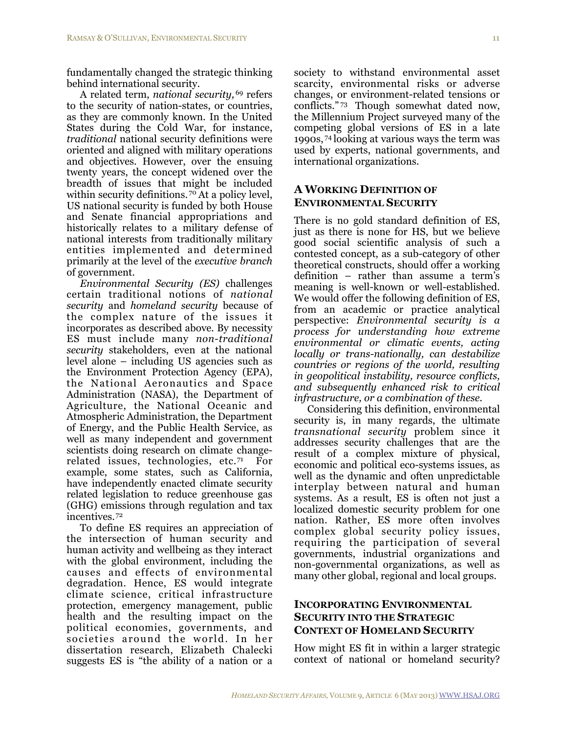fundamentally changed the strategic thinking behind international security.

A related term, *national security,* [69](#page-19-7) refers to the security of nation-states, or countries, as they are commonly known. In the United States during the Cold War, for instance, *traditional* national security definitions were oriented and aligned with military operations and objectives. However, over the ensuing twenty years, the concept widened over the breadth of issues that might be included within security definitions.  $70^{\circ}$  $70^{\circ}$  At a policy level, US national security is funded by both House and Senate financial appropriations and historically relates to a military defense of national interests from traditionally military entities implemented and determined primarily at the level of the *executive branch* of government.

*Environmental Security (ES)* challenges certain traditional notions of *national security* and *homeland security* because of the complex nature of the issues it incorporates as described above*.* By necessity ES must include many *non-traditional security* stakeholders, even at the national level alone – including US agencies such as the Environment Protection Agency (EPA), the National Aeronautics and Space Administration (NASA), the Department of Agriculture, the National Oceanic and Atmospheric Administration, the Department of Energy, and the Public Health Service, as well as many independent and government scientists doing research on climate changerelated issues, technologies, etc.[71](#page-19-9) For example, some states, such as California, have independently enacted climate security related legislation to reduce greenhouse gas (GHG) emissions through regulation and tax incentives. [72](#page-19-10) 

To define ES requires an appreciation of the intersection of human security and human activity and wellbeing as they interact with the global environment, including the causes and effects of environmental degradation. Hence, ES would integrate climate science, critical infrastructure protection, emergency management, public health and the resulting impact on the political economies, governments, and societies around the world. In her dissertation research, Elizabeth Chalecki suggests ES is "the ability of a nation or a society to withstand environmental asset scarcity, environmental risks or adverse changes, or environment-related tensions or conflicts." [73](#page-19-11) Though somewhat dated now, the Millennium Project surveyed many of the competing global versions of ES in a late 1990s, [74](#page-19-12) looking at various ways the term was used by experts, national governments, and international organizations.

#### **A WORKING DEFINITION OF ENVIRONMENTAL SECURITY**

There is no gold standard definition of ES, just as there is none for HS, but we believe good social scientific analysis of such a contested concept, as a sub-category of other theoretical constructs, should offer a working definition – rather than assume a term's meaning is well-known or well-established. We would offer the following definition of ES, from an academic or practice analytical perspective: *Environmental security is a process for understanding how extreme environmental or climatic events, acting locally or trans-nationally, can destabilize countries or regions of the world, resulting in geopolitical instability, resource conflicts, and subsequently enhanced risk to critical infrastructure, or a combination of these.*

Considering this definition, environmental security is, in many regards, the ultimate *transnational security* problem since it addresses security challenges that are the result of a complex mixture of physical, economic and political eco-systems issues, as well as the dynamic and often unpredictable interplay between natural and human systems. As a result, ES is often not just a localized domestic security problem for one nation. Rather, ES more often involves complex global security policy issues, requiring the participation of several governments, industrial organizations and non-governmental organizations, as well as many other global, regional and local groups.

#### **INCORPORATING ENVIRONMENTAL SECURITY INTO THE STRATEGIC CONTEXT OF HOMELAND SECURITY**

How might ES fit in within a larger strategic context of national or homeland security?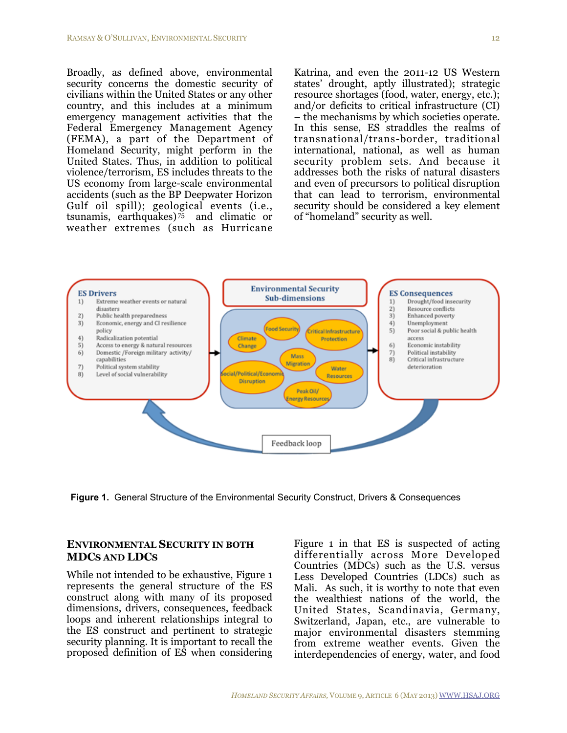Broadly, as defined above, environmental security concerns the domestic security of civilians within the United States or any other country, and this includes at a minimum emergency management activities that the Federal Emergency Management Agency (FEMA), a part of the Department of Homeland Security, might perform in the United States. Thus, in addition to political violence/terrorism, ES includes threats to the US economy from large-scale environmental accidents (such as the BP Deepwater Horizon Gulf oil spill); geological events (i.e., tsunamis, earthquakes) $75$  and climatic or weather extremes (such as Hurricane

Katrina, and even the 2011-12 US Western states' drought, aptly illustrated); strategic resource shortages (food, water, energy, etc.); and/or deficits to critical infrastructure (CI) – the mechanisms by which societies operate. In this sense, ES straddles the realms of transnational/trans-border, traditional international, national, as well as human security problem sets. And because it addresses both the risks of natural disasters and even of precursors to political disruption that can lead to terrorism, environmental security should be considered a key element of "homeland" security as well.



**Figure 1.** General Structure of the Environmental Security Construct, Drivers & Consequences

### **ENVIRONMENTAL SECURITY IN BOTH MDCS AND LDCS**

While not intended to be exhaustive, Figure 1 represents the general structure of the ES construct along with many of its proposed dimensions, drivers, consequences, feedback loops and inherent relationships integral to the ES construct and pertinent to strategic security planning. It is important to recall the proposed definition of ES when considering

Figure 1 in that ES is suspected of acting differentially across More Developed Countries (MDCs) such as the U.S. versus Less Developed Countries (LDCs) such as Mali. As such, it is worthy to note that even the wealthiest nations of the world, the United States, Scandinavia, Germany, Switzerland, Japan, etc., are vulnerable to major environmental disasters stemming from extreme weather events. Given the interdependencies of energy, water, and food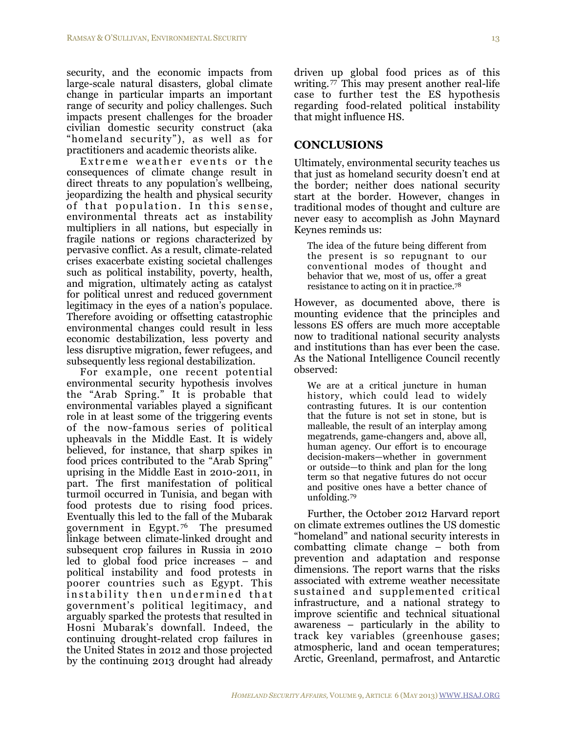security, and the economic impacts from large-scale natural disasters, global climate change in particular imparts an important range of security and policy challenges. Such impacts present challenges for the broader civilian domestic security construct (aka "homeland security"), as well as for practitioners and academic theorists alike.

Extreme weather events or the consequences of climate change result in direct threats to any population's wellbeing, jeopardizing the health and physical security of that population. In this sense, environmental threats act as instability multipliers in all nations, but especially in fragile nations or regions characterized by pervasive conflict. As a result, climate-related crises exacerbate existing societal challenges such as political instability, poverty, health, and migration, ultimately acting as catalyst for political unrest and reduced government legitimacy in the eyes of a nation's populace. Therefore avoiding or offsetting catastrophic environmental changes could result in less economic destabilization, less poverty and less disruptive migration, fewer refugees, and subsequently less regional destabilization.

For example, one recent potential environmental security hypothesis involves the "Arab Spring." It is probable that environmental variables played a significant role in at least some of the triggering events of the now-famous series of political upheavals in the Middle East. It is widely believed, for instance, that sharp spikes in food prices contributed to the "Arab Spring" uprising in the Middle East in 2010-2011, in part. The first manifestation of political turmoil occurred in Tunisia, and began with food protests due to rising food prices. Eventually this led to the fall of the Mubarak government in Egypt. [76](#page-20-1) The presumed linkage between climate-linked drought and subsequent crop failures in Russia in 2010 led to global food price increases – and political instability and food protests in poorer countries such as Egypt. This instability then undermined that government's political legitimacy, and arguably sparked the protests that resulted in Hosni Mubarak's downfall. Indeed, the continuing drought-related crop failures in the United States in 2012 and those projected by the continuing 2013 drought had already

### **CONCLUSIONS**

Ultimately, environmental security teaches us that just as homeland security doesn't end at the border; neither does national security start at the border. However, changes in traditional modes of thought and culture are never easy to accomplish as John Maynard Keynes reminds us:

The idea of the future being different from the present is so repugnant to our conventional modes of thought and behavior that we, most of us, offer a great resistance to acting on it in practice[.78](#page-20-3)

However, as documented above, there is mounting evidence that the principles and lessons ES offers are much more acceptable now to traditional national security analysts and institutions than has ever been the case. As the National Intelligence Council recently observed:

We are at a critical juncture in human history, which could lead to widely contrasting futures. It is our contention that the future is not set in stone, but is malleable, the result of an interplay among megatrends, game-changers and, above all, human agency. Our effort is to encourage decision-makers—whether in government or outside—to think and plan for the long term so that negative futures do not occur and positive ones have a better chance of unfolding.[79](#page-20-4)

Further, the October 2012 Harvard report on climate extremes outlines the US domestic "homeland" and national security interests in combatting climate change – both from prevention and adaptation and response dimensions. The report warns that the risks associated with extreme weather necessitate sustained and supplemented critical infrastructure, and a national strategy to improve scientific and technical situational awareness – particularly in the ability to track key variables (greenhouse gases; atmospheric, land and ocean temperatures; Arctic, Greenland, permafrost, and Antarctic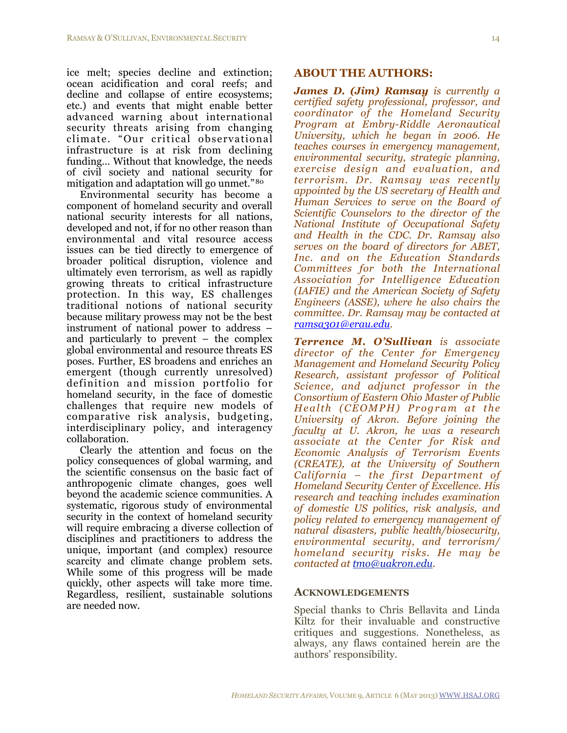ice melt; species decline and extinction; ocean acidification and coral reefs; and decline and collapse of entire ecosystems; etc.) and events that might enable better advanced warning about international security threats arising from changing climate. "Our critical observational infrastructure is at risk from declining funding… Without that knowledge, the needs of civil society and national security for mitigation and adaptation will go unmet." [80](#page-20-5)

Environmental security has become a component of homeland security and overall national security interests for all nations, developed and not, if for no other reason than environmental and vital resource access issues can be tied directly to emergence of broader political disruption, violence and ultimately even terrorism, as well as rapidly growing threats to critical infrastructure protection. In this way, ES challenges traditional notions of national security because military prowess may not be the best instrument of national power to address – and particularly to prevent – the complex global environmental and resource threats ES poses. Further, ES broadens and enriches an emergent (though currently unresolved) definition and mission portfolio for homeland security, in the face of domestic challenges that require new models of comparative risk analysis, budgeting, interdisciplinary policy, and interagency collaboration.

Clearly the attention and focus on the policy consequences of global warming, and the scientific consensus on the basic fact of anthropogenic climate changes, goes well beyond the academic science communities. A systematic, rigorous study of environmental security in the context of homeland security will require embracing a diverse collection of disciplines and practitioners to address the unique, important (and complex) resource scarcity and climate change problem sets. While some of this progress will be made quickly, other aspects will take more time. Regardless, resilient, sustainable solutions are needed now.

#### **ABOUT THE AUTHORS:**

*James D. (Jim) Ramsay is currently a certified safety professional, professor, and coordinator of the Homeland Security Program at Embry-Riddle Aeronautical University, which he began in 2006. He teaches courses in emergency management, environmental security, strategic planning, exercise design and evaluation, and terrorism. Dr. Ramsay was recently appointed by the US secretary of Health and Human Services to serve on the Board of Scientific Counselors to the director of the National Institute of Occupational Safety and Health in the CDC. Dr. Ramsay also serves on the board of directors for ABET, Inc. and on the Education Standards Committees for both the International Association for Intelligence Education (IAFIE) and the American Society of Safety Engineers (ASSE), where he also chairs the committee. Dr. Ramsay may be contacted at [ramsa301@erau.edu](mailto:ramsa301@erau.edu).* 

*Terrence M. O'Sullivan is associate director of the Center for Emergency Management and Homeland Security Policy Research, assistant professor of Political Science, and adjunct professor in the Consortium of Eastern Ohio Master of Public Health (CEOMPH) Program at the University of Akron. Before joining the faculty at U. Akron, he was a research associate at the Center for Risk and Economic Analysis of Terrorism Events (CREATE), at the University of Southern California – the first Department of Homeland Security Center of Excellence. His research and teaching includes examination of domestic US politics, risk analysis, and policy related to emergency management of natural disasters, public health/biosecurity, environmental security, and terrorism/ homeland security risks. He may be contacted at [tmo@uakron.edu](mailto:tmo@uakron.edu).* 

#### **ACKNOWLEDGEMENTS**

Special thanks to Chris Bellavita and Linda Kiltz for their invaluable and constructive critiques and suggestions. Nonetheless, as always, any flaws contained herein are the authors' responsibility.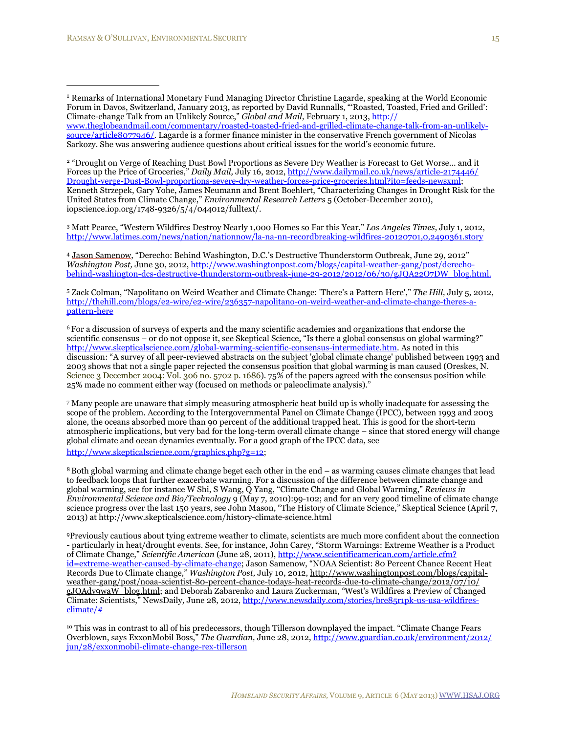<span id="page-15-1"></span><sup>2</sup> "Drought on Verge of Reaching Dust Bowl Proportions as Severe Dry Weather is Forecast to Get Worse... and it Forces up the Price of Groceries," *Daily Mail,* July 16, 2012, [http://www.dailymail.co.uk/news/article-2174446/](http://www.dailymail.co.uk/news/article-2174446/Drought-verge-Dust-Bowl-proportions-severe-dry-weather-forces-price-groceries.html?ito=feeds-newsxml) [Drought-verge-Dust-Bowl-proportions-severe-dry-weather-forces-price-groceries.html?ito=feeds-newsxml;](http://www.dailymail.co.uk/news/article-2174446/Drought-verge-Dust-Bowl-proportions-severe-dry-weather-forces-price-groceries.html?ito=feeds-newsxml) Kenneth Strzepek, Gary Yohe, James Neumann and Brent Boehlert, "Characterizing Changes in Drought Risk for the United States from Climate Change," *Environmental Research Letters* 5 (October-December 2010), iopscience.iop.org/1748-9326/5/4/044012/fulltext/.

<span id="page-15-2"></span>3 Matt Pearce, "Western Wildfires Destroy Nearly 1,000 Homes so Far this Year," *Los Angeles Times,* July 1, 2012, <http://www.latimes.com/news/nation/nationnow/la-na-nn-recordbreaking-wildfires-20120701,0,2490361.story>

<span id="page-15-3"></span><sup>4</sup> [Jason Samenow,](http://www.washingtonpost.com/jason-samenow/2011/08/01/gIQAMnn9nI_page.html) "Derecho: Behind Washington, D.C.'s Destructive Thunderstorm Outbreak, June 29, 2012" *Washington Post,* June 30, 2012, [http://www.washingtonpost.com/blogs/capital-weather-gang/post/derecho](http://www.washingtonpost.com/blogs/capital-weather-gang/post/derecho-behind-washington-dcs-destructive-thunderstorm-outbreak-june-29-2012/2012/06/30/gJQA22O7DW_blog.html)[behind-washington-dcs-destructive-thunderstorm-outbreak-june-29-2012/2012/06/30/gJQA22O7DW\\_blog.html](http://www.washingtonpost.com/blogs/capital-weather-gang/post/derecho-behind-washington-dcs-destructive-thunderstorm-outbreak-june-29-2012/2012/06/30/gJQA22O7DW_blog.html).

<span id="page-15-4"></span>5 Zack Colman, "Napolitano on Weird Weather and Climate Change: 'There's a Pattern Here'," *The Hill,* July 5, 2012, [http://thehill.com/blogs/e2-wire/e2-wire/236357-napolitano-on-weird-weather-and-climate-change-theres-a](http://thehill.com/blogs/e2-wire/e2-wire/236357-napolitano-on-weird-weather-and-climate-change-theres-a-pattern-here)[pattern-here](http://thehill.com/blogs/e2-wire/e2-wire/236357-napolitano-on-weird-weather-and-climate-change-theres-a-pattern-here)

<span id="page-15-5"></span><sup>6</sup> For a discussion of surveys of experts and the many scientific academies and organizations that endorse the scientific consensus – or do not oppose it, see Skeptical Science, "Is there a global consensus on global warming?" [http://www.skepticalscience.com/global-warming-scientific-consensus-intermediate.htm.](http://www.skepticalscience.com/global-warming-scientific-consensus-intermediate.htm) As noted in this discussion: "A survey of all peer-reviewed abstracts on the subject 'global climate change' published between 1993 and 2003 shows that not a single paper rejected the consensus position that global warming is man caused (Oreskes, N. Science 3 December 2004: Vol. 306 no. 5702 p. 1686). 75% of the papers agreed with the consensus position while 25% made no comment either way (focused on methods or paleoclimate analysis)."

<span id="page-15-6"></span>7 Many people are unaware that simply measuring atmospheric heat build up is wholly inadequate for assessing the scope of the problem. According to the Intergovernmental Panel on Climate Change (IPCC), between 1993 and 2003 alone, the oceans absorbed more than 90 percent of the additional trapped heat. This is good for the short-term atmospheric implications, but very bad for the long-term overall climate change – since that stored energy will change global climate and ocean dynamics eventually. For a good graph of the IPCC data, see

[http://www.skepticalscience.com/graphics.php?g=12;](http://www.skepticalscience.com/graphics.php?g=12)

<span id="page-15-7"></span>8Both global warming and climate change beget each other in the end – as warming causes climate changes that lead to feedback loops that further exacerbate warming. For a discussion of the difference between climate change and global warming, see for instance W Shi, S Wang, Q Yang, "Climate Change and Global Warming," *Reviews in Environmental Science and Bio/Technology* 9 (May 7, 2010):99-102; and for an very good timeline of climate change science progress over the last 150 years, see John Mason, "The History of Climate Science," Skeptical Science (April 7, 2013) at http://www.skepticalscience.com/history-climate-science.html

<span id="page-15-8"></span>9Previously cautious about tying extreme weather to climate, scientists are much more confident about the connection - particularly in heat/drought events. See, for instance, John Carey, "Storm Warnings: Extreme Weather is a Product of Climate Change," *Scientific American* (June 28, 2011), [http://www.scientificamerican.com/article.cfm?](http://www.scientificamerican.com/article.cfm?id=extreme-weather-caused-by-climate-change) [id=extreme-weather-caused-by-climate-change;](http://www.scientificamerican.com/article.cfm?id=extreme-weather-caused-by-climate-change) Jason Samenow, "NOAA Scientist: 80 Percent Chance Recent Heat Records Due to Climate change," *Washington Post,* July 10, 2012, [http://www.washingtonpost.com/blogs/capital](http://www.washingtonpost.com/blogs/capital-weather-gang/post/noaa-scientist-80-percent-chance-todays-heat-records-due-to-climate-change/2012/07/10/gJQAdv9waW_blog.html)[weather-gang/post/noaa-scientist-80-percent-chance-todays-heat-records-due-to-climate-change/2012/07/10/](http://www.washingtonpost.com/blogs/capital-weather-gang/post/noaa-scientist-80-percent-chance-todays-heat-records-due-to-climate-change/2012/07/10/gJQAdv9waW_blog.html) [gJQAdv9waW\\_blog.html;](http://www.washingtonpost.com/blogs/capital-weather-gang/post/noaa-scientist-80-percent-chance-todays-heat-records-due-to-climate-change/2012/07/10/gJQAdv9waW_blog.html) and Deborah Zabarenko and Laura Zuckerman, *"*West's Wildfires a Preview of Changed Climate: Scientists," NewsDaily*,* June 28, 2012, [http://www.newsdaily.com/stories/bre85r1pk-us-usa-wildfires](http://www.newsdaily.com/stories/bre85r1pk-us-usa-wildfires-climate/)[climate/#](http://www.newsdaily.com/stories/bre85r1pk-us-usa-wildfires-climate/)

<span id="page-15-9"></span><sup>10</sup> This was in contrast to all of his predecessors, though Tillerson downplayed the impact. "Climate Change Fears Overblown, says ExxonMobil Boss," *The Guardian,* June 28, 2012, [http://www.guardian.co.uk/environment/2012/](http://www.guardian.co.uk/environment/2012/jun/28/exxonmobil-climate-change-rex-tillerson) [jun/28/exxonmobil-climate-change-rex-tillerson](http://www.guardian.co.uk/environment/2012/jun/28/exxonmobil-climate-change-rex-tillerson)

<span id="page-15-0"></span><sup>1</sup> Remarks of International Monetary Fund Managing Director Christine Lagarde, speaking at the World Economic Forum in Davos, Switzerland, January 2013, as reported by David Runnalls, "'Roasted, Toasted, Fried and Grilled': Climate-change Talk from an Unlikely Source," *Global and Mail*, February 1, 2013, [http://](http://www.theglobeandmail.com/commentary/roasted-toasted-fried-and-grilled-climate-change-talk-from-an-unlikely-source/article8077946/) [www.theglobeandmail.com/commentary/roasted-toasted-fried-and-grilled-climate-change-talk-from-an-unlikely](http://www.theglobeandmail.com/commentary/roasted-toasted-fried-and-grilled-climate-change-talk-from-an-unlikely-source/article8077946/)[source/article8077946/.](http://www.theglobeandmail.com/commentary/roasted-toasted-fried-and-grilled-climate-change-talk-from-an-unlikely-source/article8077946/) Lagarde is a former finance minister in the conservative French government of Nicolas Sarkozy. She was answering audience questions about critical issues for the world's economic future.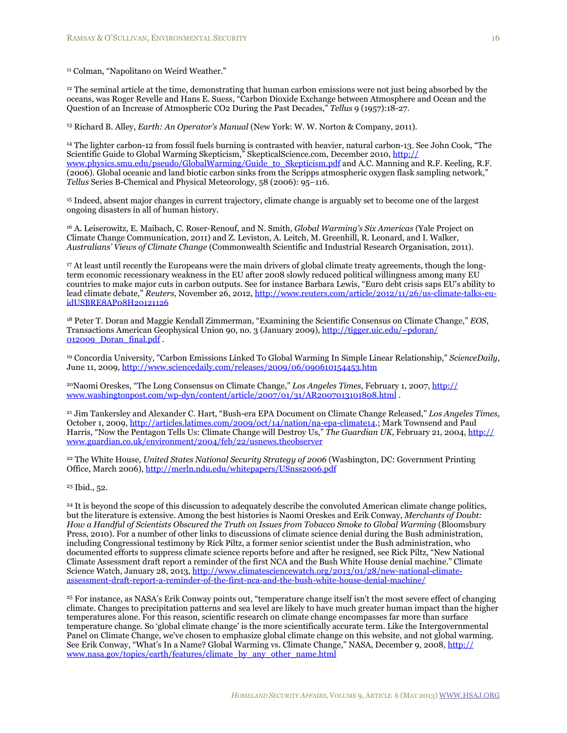<span id="page-16-0"></span><sup>11</sup> Colman, "Napolitano on Weird Weather."

<span id="page-16-1"></span><sup>12</sup> The seminal article at the time, demonstrating that human carbon emissions were not just being absorbed by the oceans, was Roger Revelle and Hans E. Suess, "Carbon Dioxide Exchange between Atmosphere and Ocean and the Question of an Increase of Atmospheric CO2 During the Past Decades," *Tellus* 9 (1957):18-27.

<span id="page-16-2"></span>13 Richard B. Alley, *Earth: An Operator's Manual* (New York: W. W. Norton & Company, 2011).

<span id="page-16-3"></span>14 The lighter carbon-12 from fossil fuels burning is contrasted with heavier, natural carbon-13. See John Cook, "The Scientific Guide to Global Warming Skepticism," SkepticalScience.com, December 2010, [http://](http://www.physics.smu.edu/pseudo/GlobalWarming/Guide_to_Skepticism.pdf) [www.physics.smu.edu/pseudo/GlobalWarming/Guide\\_to\\_Skepticism.pdf](http://www.physics.smu.edu/pseudo/GlobalWarming/Guide_to_Skepticism.pdf) and A.C. Manning and R.F. Keeling, R.F. (2006). Global oceanic and land biotic carbon sinks from the Scripps atmospheric oxygen flask sampling network," *Tellus* Series B-Chemical and Physical Meteorology, 58 (2006): 95–116.

<span id="page-16-4"></span>15 Indeed, absent major changes in current trajectory, climate change is arguably set to become one of the largest ongoing disasters in all of human history.

<span id="page-16-5"></span>16 A. Leiserowitz, E. Maibach, C. Roser-Renouf, and N. Smith, *Global Warming's Six Americas* (Yale Project on Climate Change Communication, 2011) and Z. Leviston, A. Leitch, M. Greenhill, R. Leonard, and I. Walker, *Australians' Views of Climate Change* (Commonwealth Scientific and Industrial Research Organisation, 2011).

<span id="page-16-6"></span>17 At least until recently the Europeans were the main drivers of global climate treaty agreements, though the longterm economic recessionary weakness in the EU after 2008 slowly reduced political willingness among many EU countries to make major cuts in carbon outputs. See for instance Barbara Lewis, "Euro debt crisis saps EU's ability to lead climate debate," *Reuters,* November 26, 2012, [http://www.reuters.com/article/2012/11/26/us-climate-talks-eu](http://www.reuters.com/article/2012/11/26/us-climate-talks-eu-idUSBRE8AP08H20121126)[idUSBRE8AP08H20121126](http://www.reuters.com/article/2012/11/26/us-climate-talks-eu-idUSBRE8AP08H20121126)

<span id="page-16-7"></span>18 Peter T. Doran and Maggie Kendall Zimmerman, "Examining the Scientific Consensus on Climate Change," *EOS*, Transactions American Geophysical Union 90, no. 3 (January 2009), [http://tigger.uic.edu/~pdoran/](http://tigger.uic.edu/~pdoran/012009_Doran_final.pdf) [012009\\_Doran\\_final.pdf](http://tigger.uic.edu/~pdoran/012009_Doran_final.pdf) .

<span id="page-16-8"></span><sup>19</sup> Concordia University, "Carbon Emissions Linked To Global Warming In Simple Linear Relationship," *ScienceDaily*, June 11, 2009, <http://www.sciencedaily.com/releases/2009/06/090610154453.htm>

<span id="page-16-9"></span>20Naomi Oreskes, "The Long Consensus on Climate Change," *Los Angeles Times,* February 1, 2007, [http://](http://www.washingtonpost.com/wp-dyn/content/article/2007/01/31/AR2007013101808.html) [www.washingtonpost.com/wp-dyn/content/article/2007/01/31/AR2007013101808.html](http://www.washingtonpost.com/wp-dyn/content/article/2007/01/31/AR2007013101808.html) .

<span id="page-16-10"></span>21 Jim Tankersley and Alexander C. Hart, "Bush-era EPA Document on Climate Change Released," *Los Angeles Times,* October 1, 2009,<http://articles.latimes.com/2009/oct/14/nation/na-epa-climate14>.; Mark Townsend and Paul Harris, "Now the Pentagon Tells Us: Climate Change will Destroy Us," *The Guardian UK,* February 21, 2004, [http://](http://www.guardian.co.uk/environment/2004/feb/22/usnews.theobserver) [www.guardian.co.uk/environment/2004/feb/22/usnews.theobserver](http://www.guardian.co.uk/environment/2004/feb/22/usnews.theobserver)

<span id="page-16-11"></span>22 The White House, *United States National Security Strategy of 2006* (Washington, DC: Government Printing Office, March 2006),<http://merln.ndu.edu/whitepapers/USnss2006.pdf>

<span id="page-16-12"></span>23 Ibid., 52.

<span id="page-16-13"></span><sup>24</sup> It is beyond the scope of this discussion to adequately describe the convoluted American climate change politics, but the literature is extensive. Among the best histories is Naomi Oreskes and Erik Conway, *Merchants of Doubt: How a Handful of Scientists Obscured the Truth on Issues from Tobacco Smoke to Global Warming* (Bloomsbury Press, 2010). For a number of other links to discussions of climate science denial during the Bush administration, including Congressional testimony by Rick Piltz, a former senior scientist under the Bush administration, who documented efforts to suppress climate science reports before and after he resigned, see Rick Piltz, "New National Climate Assessment draft report a reminder of the first NCA and the Bush White House denial machine." Climate Science Watch, January 28, 2013, [http://www.climatesciencewatch.org/2013/01/28/new-national-climate](http://www.climatesciencewatch.org/2013/01/28/new-national-climate-assessment-draft-report-a-reminder-of-the-first-nca-and-the-bush-white-house-denial-machine/)[assessment-draft-report-a-reminder-of-the-first-nca-and-the-bush-white-house-denial-machine/](http://www.climatesciencewatch.org/2013/01/28/new-national-climate-assessment-draft-report-a-reminder-of-the-first-nca-and-the-bush-white-house-denial-machine/)

<span id="page-16-14"></span>25 For instance, as NASA's Erik Conway points out, "temperature change itself isn't the most severe effect of changing climate. Changes to precipitation patterns and sea level are likely to have much greater human impact than the higher temperatures alone. For this reason, scientific research on climate change encompasses far more than surface temperature change. So 'global climate change' is the more scientifically accurate term. Like the Intergovernmental Panel on Climate Change, we've chosen to emphasize global climate change on this website, and not global warming. See Erik Conway, "What's In a Name? Global Warming vs. Climate Change," NASA, December 9, 2008, [http://](http://www.nasa.gov/topics/earth/features/climate_by_any_other_name.html) [www.nasa.gov/topics/earth/features/climate\\_by\\_any\\_other\\_name.html](http://www.nasa.gov/topics/earth/features/climate_by_any_other_name.html)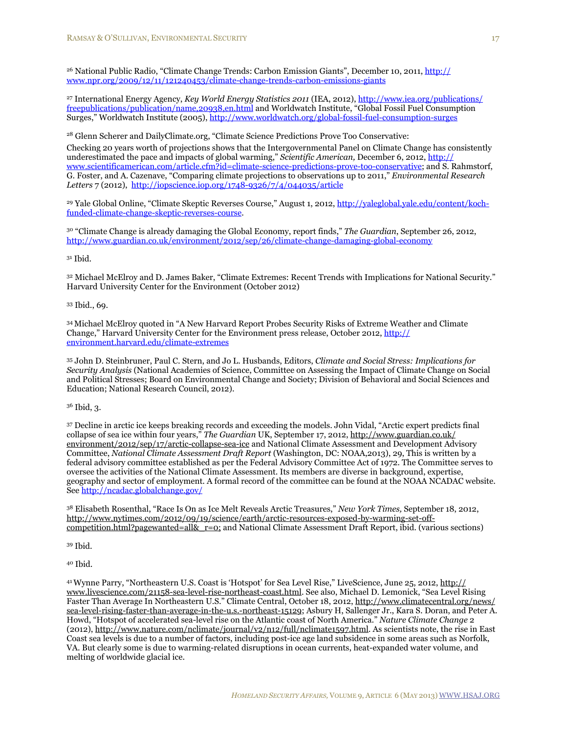<span id="page-17-0"></span><sup>26</sup> National Public Radio, "Climate Change Trends: Carbon Emission Giants", December 10, 2011, [http://](http://www.npr.org/2009/12/11/121240453/climate-change-trends-carbon-emissions-giants) [www.npr.org/2009/12/11/121240453/climate-change-trends-carbon-emissions-giants](http://www.npr.org/2009/12/11/121240453/climate-change-trends-carbon-emissions-giants)

<span id="page-17-1"></span>27 International Energy Agency, *Key World Energy Statistics 2011* (IEA, 2012), [http://www.iea.org/publications/](http://www.iea.org/publications/freepublications/publication/name,20938,en.html) [freepublications/publication/name,20938,en.html](http://www.iea.org/publications/freepublications/publication/name,20938,en.html) and Worldwatch Institute, "Global Fossil Fuel Consumption Surges," Worldwatch Institute (2005),<http://www.worldwatch.org/global-fossil-fuel-consumption-surges>

<span id="page-17-2"></span>28 Glenn Scherer and DailyClimate.org, "Climate Science Predictions Prove Too Conservative: Checking 20 years worth of projections shows that the Intergovernmental Panel on Climate Change has consistently underestimated the pace and impacts of global warming," *Scientific American,* December 6, 2012, [http://](http://www.scientificamerican.com/article.cfm?id=climate-science-predictions-prove-too-conservative) [www.scientificamerican.com/article.cfm?id=climate-science-predictions-prove-too-conservative;](http://www.scientificamerican.com/article.cfm?id=climate-science-predictions-prove-too-conservative) and S. Rahmstorf, G. Foster, and A. Cazenave, "Comparing climate projections to observations up to 2011," *Environmental Research Letters* 7 (2012), <http://iopscience.iop.org/1748-9326/7/4/044035/article>

<span id="page-17-3"></span><sup>29</sup> Yale Global Online, "Climate Skeptic Reverses Course," August 1, 2012, [http://yaleglobal.yale.edu/content/koch](http://yaleglobal.yale.edu/content/koch-funded-climate-change-skeptic-reverses-course)[funded-climate-change-skeptic-reverses-course](http://yaleglobal.yale.edu/content/koch-funded-climate-change-skeptic-reverses-course).

<span id="page-17-4"></span>30 "Climate Change is already damaging the Global Economy, report finds," *The Guardian*, September 26, 2012, <http://www.guardian.co.uk/environment/2012/sep/26/climate-change-damaging-global-economy>

<span id="page-17-5"></span>31 Ibid.

<span id="page-17-6"></span>32 Michael McElroy and D. James Baker, "Climate Extremes: Recent Trends with Implications for National Security." Harvard University Center for the Environment (October 2012)

<span id="page-17-7"></span>33 Ibid., 69.

<span id="page-17-8"></span><sup>34</sup> Michael McElroy quoted in "A New Harvard Report Probes Security Risks of Extreme Weather and Climate Change," Harvard University Center for the Environment press release, October 2012, [http://](http://environment.harvard.edu/climate-extremes) [environment.harvard.edu/climate-extremes](http://environment.harvard.edu/climate-extremes)

<span id="page-17-9"></span>35 John D. Steinbruner, Paul C. Stern, and Jo L. Husbands, Editors, *Climate and Social Stress: Implications for Security Analysis* (National Academies of Science, Committee on Assessing the Impact of Climate Change on Social and Political Stresses; Board on Environmental Change and Society; Division of Behavioral and Social Sciences and Education; National Research Council, 2012).

<span id="page-17-10"></span>36 Ibid, 3.

<span id="page-17-11"></span>37 Decline in arctic ice keeps breaking records and exceeding the models. John Vidal, "Arctic expert predicts final collapse of sea ice within four years," *The Guardian* UK, September 17, 2012, [http://www.guardian.co.uk/](http://www.guardian.co.uk/environment/2012/sep/17/arctic-collapse-sea-ice) [environment/2012/sep/17/arctic-collapse-sea-ice](http://www.guardian.co.uk/environment/2012/sep/17/arctic-collapse-sea-ice) and National Climate Assessment and Development Advisory Committee, *National Climate Assessment Draft Report* (Washington, DC: NOAA,2013), 29, This is written by a federal advisory committee established as per the Federal Advisory Committee Act of 1972. The Committee serves to oversee the activities of the National Climate Assessment. Its members are diverse in background, expertise, geography and sector of employment. A formal record of the committee can be found at the [NOAA NCADAC](http://www.nesdis.noaa.gov/NCADAC/index.html) website. See <http://ncadac.globalchange.gov/>

<span id="page-17-12"></span>38 Elisabeth Rosenthal, "Race Is On as Ice Melt Reveals Arctic Treasures," *New York Times,* September 18, 2012, [http://www.nytimes.com/2012/09/19/science/earth/arctic-resources-exposed-by-warming-set-off](http://www.nytimes.com/2012/09/19/science/earth/arctic-resources-exposed-by-warming-set-off-competition.html?pagewanted=all&_r=0)competition.html?pagewanted=all& $r=0$ ; and National Climate Assessment Draft Report, ibid. (various sections)

<span id="page-17-13"></span>39 Ibid.

<span id="page-17-14"></span>40 Ibid.

<span id="page-17-15"></span>41Wynne Parry, "Northeastern U.S. Coast is 'Hotspot' for Sea Level Rise," LiveScience, June 25, 2012, [http://](http://www.livescience.com/21158-sea-level-rise-northeast-coast.html) [www.livescience.com/21158-sea-level-rise-northeast-coast.html.](http://www.livescience.com/21158-sea-level-rise-northeast-coast.html) See also, Michael D. Lemonick, "Sea Level Rising Faster Than Average In Northeastern U.S." Climate Central, October 18, 2012, [http://www.climatecentral.org/news/](http://www.climatecentral.org/news/sea-level-rising-faster-than-average-in-the-u.s.-northeast-15129) [sea-level-rising-faster-than-average-in-the-u.s.-northeast-15129;](http://www.climatecentral.org/news/sea-level-rising-faster-than-average-in-the-u.s.-northeast-15129) Asbury H, Sallenger Jr., Kara S. Doran, and Peter A. Howd, "Hotspot of accelerated sea-level rise on the Atlantic coast of North America." *Nature Climate Change* 2 (2012), <http://www.nature.com/nclimate/journal/v2/n12/full/nclimate1597.html>. As scientists note, the rise in East Coast sea levels is due to a number of factors, including post-ice age land subsidence in some areas such as Norfolk, VA. But clearly some is due to warming-related disruptions in ocean currents, heat-expanded water volume, and melting of worldwide glacial ice.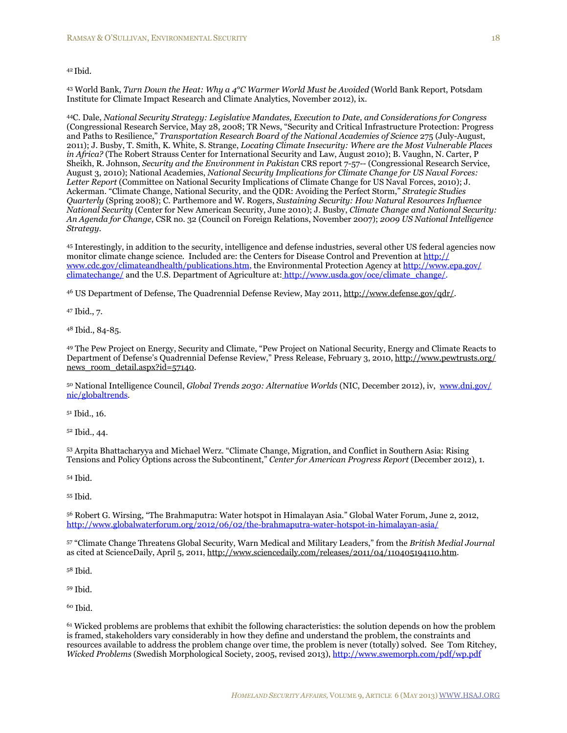#### <span id="page-18-0"></span><sup>42</sup> Ibid.

<span id="page-18-1"></span>43 World Bank, *Turn Down the Heat: Why a 4°C Warmer World Must be Avoided* (World Bank Report, Potsdam Institute for Climate Impact Research and Climate Analytics, November 2012), ix.

<span id="page-18-2"></span>44C. Dale, *National Security Strategy: Legislative Mandates, Execution to Date, and Considerations for Congress* (Congressional Research Service, May 28, 2008; TR News, "Security and Critical Infrastructure Protection: Progress and Paths to Resilience," *Transportation Research Board of the National Academies of Science* 275 (July-August, 2011); J. Busby, T. Smith, K. White, S. Strange, *Locating Climate Insecurity: Where are the Most Vulnerable Places in Africa?* (The Robert Strauss Center for International Security and Law, August 2010); B. Vaughn, N. Carter, P Sheikh, R. Johnson, *Security and the Environment in Pakistan* CRS report 7-57-- (Congressional Research Service, August 3, 2010); National Academies, *National Security Implications for Climate Change for US Naval Forces:*  Letter Report (Committee on National Security Implications of Climate Change for US Naval Forces, 2010); J. Ackerman. "Climate Change, National Security, and the QDR: Avoiding the Perfect Storm," *Strategic Studies Quarterly* (Spring 2008); C. Parthemore and W. Rogers, *Sustaining Security: How Natural Resources Influence National Security* (Center for New American Security, June 2010); J. Busby, *Climate Change and National Security: An Agenda for Change*, CSR no. 32 (Council on Foreign Relations, November 2007); *2009 US National Intelligence Strategy*.

<span id="page-18-3"></span>45 Interestingly, in addition to the security, intelligence and defense industries, several other US federal agencies now monitor climate change science. Included are: the Centers for Disease Control and Prevention at [http://](http://www.cdc.gov/climateandhealth/publications.htm) [www.cdc.gov/climateandhealth/publications.htm](http://www.cdc.gov/climateandhealth/publications.htm), the Environmental Protection Agency at [http://www.epa.gov/](http://www.epa.gov/climatechange/) [climatechange/](http://www.epa.gov/climatechange/) and the U.S. Department of Agriculture at: [http://www.usda.gov/oce/climate\\_change/](http://www.usda.gov/oce/climate_change/).

<span id="page-18-4"></span>46 US Department of Defense, The Quadrennial Defense Review, May 2011,<http://www.defense.gov/qdr/>.

<span id="page-18-5"></span>47 Ibid., 7.

<span id="page-18-6"></span>48 Ibid., 84-85.

<span id="page-18-7"></span>49 The Pew Project on Energy, Security and Climate, "Pew Project on National Security, Energy and Climate Reacts to Department of Defense's Quadrennial Defense Review," Press Release, February 3, 2010, [http://www.pewtrusts.org/](http://www.pewtrusts.org/news_room_detail.aspx?id=57140) [news\\_room\\_detail.aspx?id=57140.](http://www.pewtrusts.org/news_room_detail.aspx?id=57140)

<span id="page-18-8"></span>50 National Intelligence Council, *Global Trends 2030: Alternative Worlds* (NIC, December 2012), iv, [www.dni.gov/](http://www.dni.gov/nic/globaltrends) [nic/globaltrends.](http://www.dni.gov/nic/globaltrends)

<span id="page-18-9"></span>51 Ibid., 16.

<span id="page-18-10"></span>52 Ibid., 44.

<span id="page-18-11"></span>53 Arpita Bhattacharyya and Michael Werz. "Climate Change, Migration, and Conflict in Southern Asia: Rising Tensions and Policy Options across the Subcontinent," *Center for American Progress Report* (December 2012), 1.

<span id="page-18-12"></span>54 Ibid.

<span id="page-18-13"></span>55 Ibid.

<span id="page-18-14"></span>56 Robert G. Wirsing, "The Brahmaputra: Water hotspot in Himalayan Asia." Global Water Forum, June 2, 2012, <http://www.globalwaterforum.org/2012/06/02/the-brahmaputra-water-hotspot-in-himalayan-asia/>

<span id="page-18-15"></span>57 "Climate Change Threatens Global Security, Warn Medical and Military Leaders," from the *British Medial Journal* as cited at ScienceDaily, April 5, 2011, <http://www.sciencedaily.com/releases/2011/04/110405194110.htm>.

<span id="page-18-16"></span>58 Ibid.

<span id="page-18-17"></span>59 Ibid.

<span id="page-18-18"></span>60 Ibid.

<span id="page-18-19"></span>61 Wicked problems are problems that exhibit the following characteristics: the solution depends on how the problem is framed, stakeholders vary considerably in how they define and understand the problem, the constraints and resources available to address the problem change over time, the problem is never (totally) solved. See Tom Ritchey, *Wicked Problems* (Swedish Morphological Society, 2005, revised 2013),<http://www.swemorph.com/pdf/wp.pdf>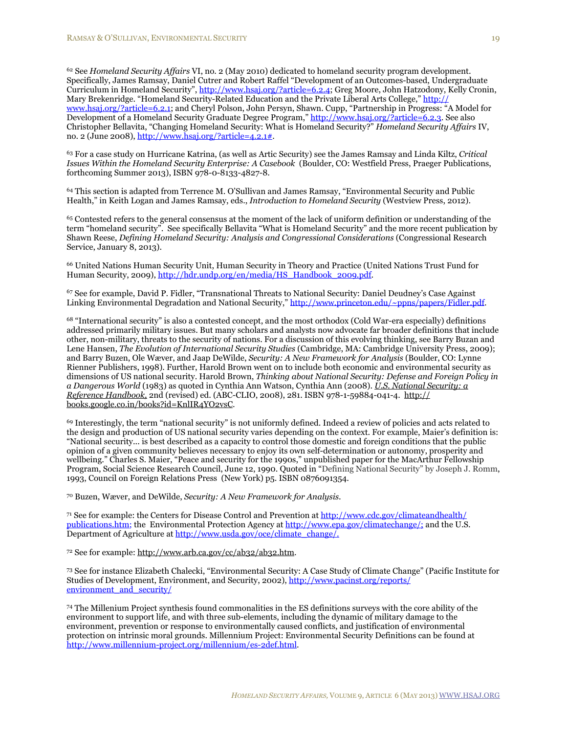<span id="page-19-0"></span>62 See *Homeland Security Affairs* VI, no. 2 (May 2010) dedicated to homeland security program development. Specifically, James Ramsay, Daniel Cutrer and Robert Raffel "Development of an Outcomes-based, Undergraduate Curriculum in Homeland Security", [http://www.hsaj.org/?article=6.2.4;](http://www.hsaj.org/?article=6.2.4) Greg Moore, John Hatzodony, Kelly Cronin, Mary Brekenridge. "Homeland Security-Related Education and the Private Liberal Arts College," <u>http://</u> [www.hsaj.org/?article=6.2.1](http://www.hsaj.org/?article=6.2.1); and Cheryl Polson, John Persyn, Shawn. Cupp, "Partnership in Progress: "A Model for Development of a Homeland Security Graduate Degree Program," [http://www.hsaj.org/?article=6.2.3.](http://www.hsaj.org/?article=6.2.3) See also Christopher Bellavita, "Changing Homeland Security: What is Homeland Security?" *Homeland Security Affairs* IV, no. 2 (June 2008),  $\frac{http://www.hsai.org/?article=4.2.1#}{http://www.hsai.org/?article=4.2.1#}.$ 

<span id="page-19-1"></span>63 For a case study on Hurricane Katrina, (as well as Artic Security) see the James Ramsay and Linda Kiltz, *Critical Issues Within the Homeland Security Enterprise: A Casebook* (Boulder, CO: Westfield Press, Praeger Publications, forthcoming Summer 2013), ISBN 978-0-8133-4827-8.

<span id="page-19-2"></span>64 This section is adapted from Terrence M. O'Sullivan and James Ramsay, "Environmental Security and Public Health," in Keith Logan and James Ramsay, eds., *Introduction to Homeland Security* (Westview Press, 2012).

<span id="page-19-3"></span>65 Contested refers to the general consensus at the moment of the lack of uniform definition or understanding of the term "homeland security". See specifically Bellavita "What is Homeland Security" and the more recent publication by Shawn Reese, *Defining Homeland Security: Analysis and Congressional Considerations* (Congressional Research Service, January 8, 2013).

<span id="page-19-4"></span>66 United Nations Human Security Unit, Human Security in Theory and Practice (United Nations Trust Fund for Human Security, 2009), [http://hdr.undp.org/en/media/HS\\_Handbook\\_2009.pdf](http://hdr.undp.org/en/media/HS_Handbook_2009.pdf).

<span id="page-19-5"></span>67 See for example, David P. Fidler, "Transnational Threats to National Security: Daniel Deudney's Case Against Linking Environmental Degradation and National Security,"<http://www.princeton.edu/~ppns/papers/Fidler.pdf>.

<span id="page-19-6"></span>68 "International security" is also a contested concept, and the most orthodox (Cold War-era especially) definitions addressed primarily military issues. But many scholars and analysts now advocate far broader definitions that include other, non-military, threats to the security of nations. For a discussion of this evolving thinking, see Barry Buzan and Lene Hansen, *The Evolution of International Security Studies* (Cambridge, MA: Cambridge University Press, 2009); and Barry Buzen, Ole Wæver, and Jaap DeWilde, *Security: A New Framework for Analysis* (Boulder, CO: Lynne Rienner Publishers, 1998). Further, Harold Brown went on to include both economic and environmental security as dimensions of US national security. Harold Brown, *Thinking about National Security: Defense and Foreign Policy in a Dangerous World* (1983) as quoted in Cynthia Ann Watson, Cynthia Ann (2008). *[U.S. National Security: a](http://books.google.co.in/books?id=KnlIR4YO2vsC)  [Reference Handbook](http://books.google.co.in/books?id=KnlIR4YO2vsC),* 2nd (revised) ed. (ABC-CLIO, 2008), 281. [ISBN](http://en.wikipedia.org/wiki/International_Standard_Book_Number) [978-1-59884-041-4.](http://en.wikipedia.org/wiki/Special:BookSources/978-1-59884-041-4) [http://](http://books.google.co.in/books?id=KnlIR4YO2vsC) [books.google.co.in/books?id=KnlIR4YO2vsC](http://books.google.co.in/books?id=KnlIR4YO2vsC).

<span id="page-19-7"></span>69 Interestingly, the term "national security" is not uniformly defined. Indeed a review of policies and acts related to the design and production of US national security varies depending on the context. For example, Maier's definition is: "National security... is best described as a capacity to control those domestic and foreign conditions that the public opinion of a given community believes necessary to enjoy its own self-determination or autonomy, prosperity and wellbeing." Charles S. Maier, "Peace and security for the 1990s," unpublished paper for the MacArthur Fellowship Program, Social Science Research Council, June 12, 1990. Quoted in "Defining National Security" by Joseph J. Romm, 1993, Council on Foreign Relations Press (New York) p5. ISBN 0876091354.

<span id="page-19-8"></span>70 Buzen, Wæver, and DeWilde, *Security: A New Framework for Analysis*.

<span id="page-19-9"></span>71 See for example: the Centers for Disease Control and Prevention at [http://www.cdc.gov/climateandhealth/](http://www.cdc.gov/climateandhealth/publications.htm) [publications.htm;](http://www.cdc.gov/climateandhealth/publications.htm) the Environmental Protection Agency at [http://www.epa.gov/climatechange/;](http://www.epa.gov/climatechange/) and the U.S. Department of Agriculture at [http://www.usda.gov/oce/climate\\_change/.](http://www.usda.gov/oce/climate_change/)

<span id="page-19-10"></span>72 See for example: [http://www.arb.ca.gov/cc/ab32/ab32.htm.](http://www.arb.ca.gov/cc/ab32/ab32.htm)

<span id="page-19-11"></span>73 See for instance Elizabeth Chalecki, "Environmental Security: A Case Study of Climate Change" (Pacific Institute for Studies of Development, Environment, and Security, 2002), [http://www.pacinst.org/reports/](http://www.pacinst.org/reports/environment_and_security/) [environment\\_and\\_security/](http://www.pacinst.org/reports/environment_and_security/)

<span id="page-19-12"></span>74 The Millenium Project synthesis found commonalities in the ES definitions surveys with the core ability of the environment to support life, and with three sub-elements, including the dynamic of military damage to the environment, prevention or response to environmentally caused conflicts, and justification of environmental protection on intrinsic moral grounds. Millennium Project: Environmental Security Definitions can be found at [http://www.millennium-project.org/millennium/es-2def.html.](http://www.millennium-project.org/millennium/es-2def.html)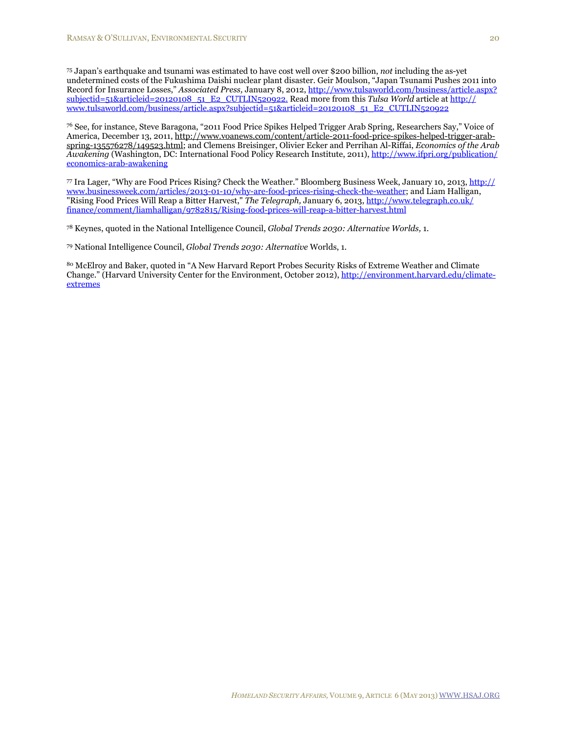<span id="page-20-0"></span>75 Japan's earthquake and tsunami was estimated to have cost well over \$200 billion, *not* including the as-yet undetermined costs of the Fukushima Daishi nuclear plant disaster. Geir Moulson, "Japan Tsunami Pushes 2011 into Record for Insurance Losses," *Associated Press,* January 8, 2012, [http://www.tulsaworld.com/business/article.aspx?](http://www.tulsaworld.com/business/article.aspx?subjectid=51&articleid=20120108_51_E2_CUTLIN520922) [subjectid=51&articleid=20120108\\_51\\_E2\\_CUTLIN520922.](http://www.tulsaworld.com/business/article.aspx?subjectid=51&articleid=20120108_51_E2_CUTLIN520922) Read more from this *Tulsa World* article at [http://](http://www.tulsaworld.com/business/article.aspx?subjectid=51&articleid=20120108_51_E2_CUTLIN520922) [www.tulsaworld.com/business/article.aspx?subjectid=51&articleid=20120108\\_51\\_E2\\_CUTLIN520922](http://www.tulsaworld.com/business/article.aspx?subjectid=51&articleid=20120108_51_E2_CUTLIN520922)

<span id="page-20-1"></span>76 See, for instance, Steve Baragona, "2011 Food Price Spikes Helped Trigger Arab Spring, Researchers Say," Voice of America, December 13, 2011, [http://www.voanews.com/content/article-2011-food-price-spikes-helped-trigger-arab](http://www.voanews.com/content/article-2011-food-price-spikes-helped-trigger-arab-spring-135576278/149523.html)[spring-135576278/149523.html;](http://www.voanews.com/content/article-2011-food-price-spikes-helped-trigger-arab-spring-135576278/149523.html) and Clemens Breisinger, Olivier Ecker and Perrihan Al-Riffai, *Economics of the Arab Awakening* (Washington, DC: International Food Policy Research Institute, 2011), [http://www.ifpri.org/publication/](http://www.ifpri.org/publication/economics-arab-awakening) [economics-arab-awakening](http://www.ifpri.org/publication/economics-arab-awakening)

<span id="page-20-2"></span>77 Ira Lager, "Why are Food Prices Rising? Check the Weather." Bloomberg Business Week, January 10, 2013, [http://](http://www.businessweek.com/articles/2013-01-10/why-are-food-prices-rising-check-the-weather) [www.businessweek.com/articles/2013-01-10/why-are-food-prices-rising-check-the-weather](http://www.businessweek.com/articles/2013-01-10/why-are-food-prices-rising-check-the-weather); and Liam Halligan, "Rising Food Prices Will Reap a Bitter Harvest," *The Telegraph,* January 6, 2013, [http://www.telegraph.co.uk/](http://www.telegraph.co.uk/finance/comment/liamhalligan/9782815/Rising-food-prices-will-reap-a-bitter-harvest.html) [finance/comment/liamhalligan/9782815/Rising-food-prices-will-reap-a-bitter-harvest.html](http://www.telegraph.co.uk/finance/comment/liamhalligan/9782815/Rising-food-prices-will-reap-a-bitter-harvest.html)

<span id="page-20-3"></span>78 Keynes, quoted in the National Intelligence Council, *Global Trends 2030: Alternative Worlds,* 1.

<span id="page-20-4"></span>79 National Intelligence Council, *Global Trends 2030: Alternative* Worlds, 1.

<span id="page-20-5"></span>80 McElroy and Baker, quoted in "A New Harvard Report Probes Security Risks of Extreme Weather and Climate Change." (Harvard University Center for the Environment, October 2012), [http://environment.harvard.edu/climate](http://environment.harvard.edu/climate-extremes)[extremes](http://environment.harvard.edu/climate-extremes)